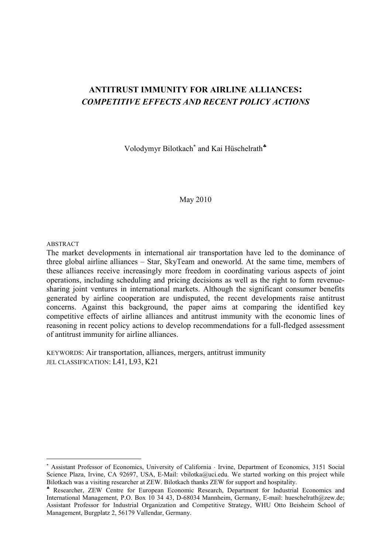# ANTITRUST IMMUNITY FOR AIRLINE ALLIANCES: COMPETITIVE EFFECTS AND RECENT POLICY ACTIONS

Volodymyr Bilotkach<sup>∗</sup> and Kai Hüschelrath<sup>+</sup>

May 2010

ABSTRACT

 $\overline{a}$ 

The market developments in international air transportation have led to the dominance of three global airline alliances – Star, SkyTeam and oneworld. At the same time, members of these alliances receive increasingly more freedom in coordinating various aspects of joint operations, including scheduling and pricing decisions as well as the right to form revenuesharing joint ventures in international markets. Although the significant consumer benefits generated by airline cooperation are undisputed, the recent developments raise antitrust concerns. Against this background, the paper aims at comparing the identified key competitive effects of airline alliances and antitrust immunity with the economic lines of reasoning in recent policy actions to develop recommendations for a full-fledged assessment of antitrust immunity for airline alliances.

KEYWORDS: Air transportation, alliances, mergers, antitrust immunity JEL CLASSIFICATION: L41, L93, K21

<sup>∗</sup> Assistant Professor of Economics, University of California ⋅ Irvine, Department of Economics, 3151 Social Science Plaza, Irvine, CA 92697, USA, E-Mail: vbilotka@uci.edu. We started working on this project while Bilotkach was a visiting researcher at ZEW. Bilotkach thanks ZEW for support and hospitality.

<sup>♣</sup> Researcher, ZEW Centre for European Economic Research, Department for Industrial Economics and International Management, P.O. Box 10 34 43, D-68034 Mannheim, Germany, E-mail: hueschelrath@zew.de; Assistant Professor for Industrial Organization and Competitive Strategy, WHU Otto Beisheim School of Management, Burgplatz 2, 56179 Vallendar, Germany.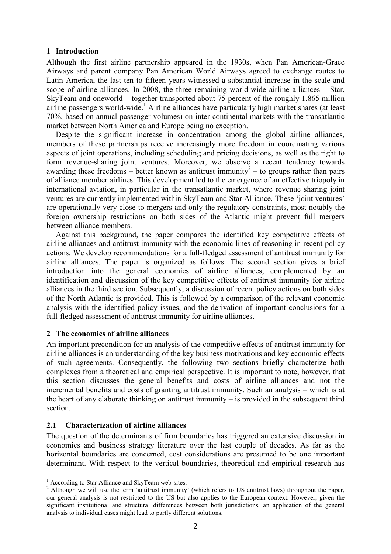# 1 Introduction

Although the first airline partnership appeared in the 1930s, when Pan American-Grace Airways and parent company Pan American World Airways agreed to exchange routes to Latin America, the last ten to fifteen years witnessed a substantial increase in the scale and scope of airline alliances. In 2008, the three remaining world-wide airline alliances – Star, SkyTeam and oneworld – together transported about 75 percent of the roughly 1,865 million airline passengers world-wide.<sup>1</sup> Airline alliances have particularly high market shares (at least 70%, based on annual passenger volumes) on inter-continental markets with the transatlantic market between North America and Europe being no exception.

Despite the significant increase in concentration among the global airline alliances, members of these partnerships receive increasingly more freedom in coordinating various aspects of joint operations, including scheduling and pricing decisions, as well as the right to form revenue-sharing joint ventures. Moreover, we observe a recent tendency towards awarding these freedoms – better known as antitrust immunity<sup>2</sup> – to groups rather than pairs of alliance member airlines. This development led to the emergence of an effective triopoly in international aviation, in particular in the transatlantic market, where revenue sharing joint ventures are currently implemented within SkyTeam and Star Alliance. These 'joint ventures' are operationally very close to mergers and only the regulatory constraints, most notably the foreign ownership restrictions on both sides of the Atlantic might prevent full mergers between alliance members.

 Against this background, the paper compares the identified key competitive effects of airline alliances and antitrust immunity with the economic lines of reasoning in recent policy actions. We develop recommendations for a full-fledged assessment of antitrust immunity for airline alliances. The paper is organized as follows. The second section gives a brief introduction into the general economics of airline alliances, complemented by an identification and discussion of the key competitive effects of antitrust immunity for airline alliances in the third section. Subsequently, a discussion of recent policy actions on both sides of the North Atlantic is provided. This is followed by a comparison of the relevant economic analysis with the identified policy issues, and the derivation of important conclusions for a full-fledged assessment of antitrust immunity for airline alliances.

# 2 The economics of airline alliances

An important precondition for an analysis of the competitive effects of antitrust immunity for airline alliances is an understanding of the key business motivations and key economic effects of such agreements. Consequently, the following two sections briefly characterize both complexes from a theoretical and empirical perspective. It is important to note, however, that this section discusses the general benefits and costs of airline alliances and not the incremental benefits and costs of granting antitrust immunity. Such an analysis – which is at the heart of any elaborate thinking on antitrust immunity – is provided in the subsequent third section.

# 2.1 Characterization of airline alliances

The question of the determinants of firm boundaries has triggered an extensive discussion in economics and business strategy literature over the last couple of decades. As far as the horizontal boundaries are concerned, cost considerations are presumed to be one important determinant. With respect to the vertical boundaries, theoretical and empirical research has

<sup>&</sup>lt;sup>1</sup> According to Star Alliance and SkyTeam web-sites.

<sup>&</sup>lt;sup>2</sup> Although we will use the term 'antitrust immunity' (which refers to US antitrust laws) throughout the paper, our general analysis is not restricted to the US but also applies to the European context. However, given the significant institutional and structural differences between both jurisdictions, an application of the general analysis to individual cases might lead to partly different solutions.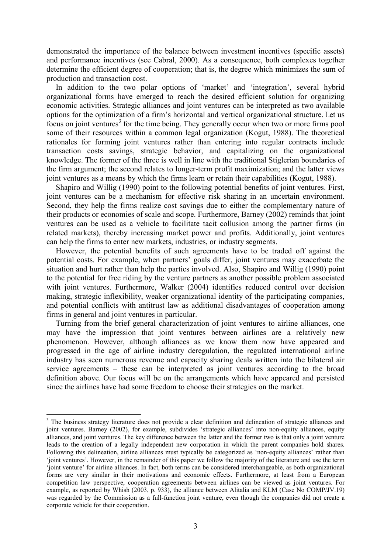demonstrated the importance of the balance between investment incentives (specific assets) and performance incentives (see Cabral, 2000). As a consequence, both complexes together determine the efficient degree of cooperation; that is, the degree which minimizes the sum of production and transaction cost.

 In addition to the two polar options of 'market' and 'integration', several hybrid organizational forms have emerged to reach the desired efficient solution for organizing economic activities. Strategic alliances and joint ventures can be interpreted as two available options for the optimization of a firm's horizontal and vertical organizational structure. Let us focus on joint ventures<sup>3</sup> for the time being. They generally occur when two or more firms pool some of their resources within a common legal organization (Kogut, 1988). The theoretical rationales for forming joint ventures rather than entering into regular contracts include transaction costs savings, strategic behavior, and capitalizing on the organizational knowledge. The former of the three is well in line with the traditional Stiglerian boundaries of the firm argument; the second relates to longer-term profit maximization; and the latter views joint ventures as a means by which the firms learn or retain their capabilities (Kogut, 1988).

 Shapiro and Willig (1990) point to the following potential benefits of joint ventures. First, joint ventures can be a mechanism for effective risk sharing in an uncertain environment. Second, they help the firms realize cost savings due to either the complementary nature of their products or economies of scale and scope. Furthermore, Barney (2002) reminds that joint ventures can be used as a vehicle to facilitate tacit collusion among the partner firms (in related markets), thereby increasing market power and profits. Additionally, joint ventures can help the firms to enter new markets, industries, or industry segments.

 However, the potential benefits of such agreements have to be traded off against the potential costs. For example, when partners' goals differ, joint ventures may exacerbate the situation and hurt rather than help the parties involved. Also, Shapiro and Willig (1990) point to the potential for free riding by the venture partners as another possible problem associated with joint ventures. Furthermore, Walker (2004) identifies reduced control over decision making, strategic inflexibility, weaker organizational identity of the participating companies, and potential conflicts with antitrust law as additional disadvantages of cooperation among firms in general and joint ventures in particular.

 Turning from the brief general characterization of joint ventures to airline alliances, one may have the impression that joint ventures between airlines are a relatively new phenomenon. However, although alliances as we know them now have appeared and progressed in the age of airline industry deregulation, the regulated international airline industry has seen numerous revenue and capacity sharing deals written into the bilateral air service agreements – these can be interpreted as joint ventures according to the broad definition above. Our focus will be on the arrangements which have appeared and persisted since the airlines have had some freedom to choose their strategies on the market.

<sup>&</sup>lt;sup>3</sup> The business strategy literature does not provide a clear definition and delineation of strategic alliances and joint ventures. Barney (2002), for example, subdivides 'strategic alliances' into non-equity alliances, equity alliances, and joint ventures. The key difference between the latter and the former two is that only a joint venture leads to the creation of a legally independent new corporation in which the parent companies hold shares. Following this delineation, airline alliances must typically be categorized as 'non-equity alliances' rather than 'joint ventures'. However, in the remainder of this paper we follow the majority of the literature and use the term 'joint venture' for airline alliances. In fact, both terms can be considered interchangeable, as both organizational forms are very similar in their motivations and economic effects. Furthermore, at least from a European competition law perspective, cooperation agreements between airlines can be viewed as joint ventures. For example, as reported by Whish (2003, p. 933), the alliance between Alitalia and KLM (Case No COMP/JV.19) was regarded by the Commission as a full-function joint venture, even though the companies did not create a corporate vehicle for their cooperation.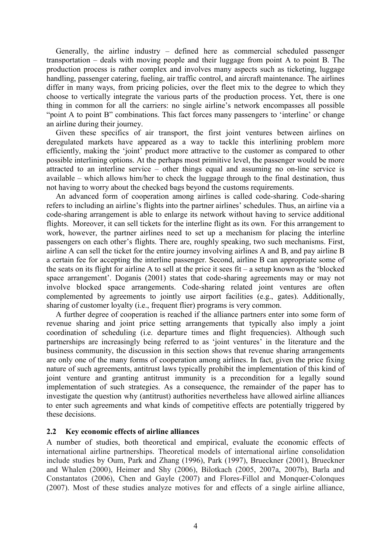Generally, the airline industry – defined here as commercial scheduled passenger transportation – deals with moving people and their luggage from point A to point B. The production process is rather complex and involves many aspects such as ticketing, luggage handling, passenger catering, fueling, air traffic control, and aircraft maintenance. The airlines differ in many ways, from pricing policies, over the fleet mix to the degree to which they choose to vertically integrate the various parts of the production process. Yet, there is one thing in common for all the carriers: no single airline's network encompasses all possible "point A to point B" combinations. This fact forces many passengers to 'interline' or change an airline during their journey.

 Given these specifics of air transport, the first joint ventures between airlines on deregulated markets have appeared as a way to tackle this interlining problem more efficiently, making the 'joint' product more attractive to the customer as compared to other possible interlining options. At the perhaps most primitive level, the passenger would be more attracted to an interline service – other things equal and assuming no on-line service is available – which allows him/her to check the luggage through to the final destination, thus not having to worry about the checked bags beyond the customs requirements.

 An advanced form of cooperation among airlines is called code-sharing. Code-sharing refers to including an airline's flights into the partner airlines' schedules. Thus, an airline via a code-sharing arrangement is able to enlarge its network without having to service additional flights. Moreover, it can sell tickets for the interline flight as its own. For this arrangement to work, however, the partner airlines need to set up a mechanism for placing the interline passengers on each other's flights. There are, roughly speaking, two such mechanisms. First, airline A can sell the ticket for the entire journey involving airlines A and B, and pay airline B a certain fee for accepting the interline passenger. Second, airline B can appropriate some of the seats on its flight for airline A to sell at the price it sees fit – a setup known as the 'blocked space arrangement'. Doganis (2001) states that code-sharing agreements may or may not involve blocked space arrangements. Code-sharing related joint ventures are often complemented by agreements to jointly use airport facilities (e.g., gates). Additionally, sharing of customer loyalty (i.e., frequent flier) programs is very common.

 A further degree of cooperation is reached if the alliance partners enter into some form of revenue sharing and joint price setting arrangements that typically also imply a joint coordination of scheduling (i.e. departure times and flight frequencies). Although such partnerships are increasingly being referred to as 'joint ventures' in the literature and the business community, the discussion in this section shows that revenue sharing arrangements are only one of the many forms of cooperation among airlines. In fact, given the price fixing nature of such agreements, antitrust laws typically prohibit the implementation of this kind of joint venture and granting antitrust immunity is a precondition for a legally sound implementation of such strategies. As a consequence, the remainder of the paper has to investigate the question why (antitrust) authorities nevertheless have allowed airline alliances to enter such agreements and what kinds of competitive effects are potentially triggered by these decisions.

### 2.2 Key economic effects of airline alliances

A number of studies, both theoretical and empirical, evaluate the economic effects of international airline partnerships. Theoretical models of international airline consolidation include studies by Oum, Park and Zhang (1996), Park (1997), Brueckner (2001), Brueckner and Whalen (2000), Heimer and Shy (2006), Bilotkach (2005, 2007a, 2007b), Barla and Constantatos (2006), Chen and Gayle (2007) and Flores-Fillol and Monquer-Colonques (2007). Most of these studies analyze motives for and effects of a single airline alliance,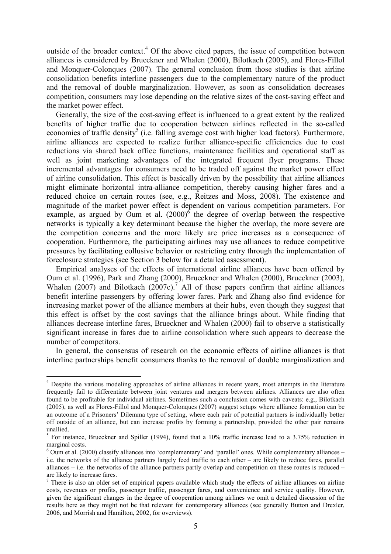outside of the broader context.<sup>4</sup> Of the above cited papers, the issue of competition between alliances is considered by Brueckner and Whalen (2000), Bilotkach (2005), and Flores-Fillol and Monquer-Colonques (2007). The general conclusion from those studies is that airline consolidation benefits interline passengers due to the complementary nature of the product and the removal of double marginalization. However, as soon as consolidation decreases competition, consumers may lose depending on the relative sizes of the cost-saving effect and the market power effect.

 Generally, the size of the cost-saving effect is influenced to a great extent by the realized benefits of higher traffic due to cooperation between airlines reflected in the so-called economies of traffic density<sup>5</sup> (i.e. falling average cost with higher load factors). Furthermore, airline alliances are expected to realize further alliance-specific efficiencies due to cost reductions via shared back office functions, maintenance facilities and operational staff as well as joint marketing advantages of the integrated frequent flyer programs. These incremental advantages for consumers need to be traded off against the market power effect of airline consolidation. This effect is basically driven by the possibility that airline alliances might eliminate horizontal intra-alliance competition, thereby causing higher fares and a reduced choice on certain routes (see, e.g., Reitzes and Moss, 2008). The existence and magnitude of the market power effect is dependent on various competition parameters. For example, as argued by Oum et al.  $(2000)^6$  the degree of overlap between the respective networks is typically a key determinant because the higher the overlap, the more severe are the competition concerns and the more likely are price increases as a consequence of cooperation. Furthermore, the participating airlines may use alliances to reduce competitive pressures by facilitating collusive behavior or restricting entry through the implementation of foreclosure strategies (see Section 3 below for a detailed assessment).

 Empirical analyses of the effects of international airline alliances have been offered by Oum et al. (1996), Park and Zhang (2000), Brueckner and Whalen (2000), Brueckner (2003), Whalen (2007) and Bilotkach (2007c).<sup>7</sup> All of these papers confirm that airline alliances benefit interline passengers by offering lower fares. Park and Zhang also find evidence for increasing market power of the alliance members at their hubs, even though they suggest that this effect is offset by the cost savings that the alliance brings about. While finding that alliances decrease interline fares, Brueckner and Whalen (2000) fail to observe a statistically significant increase in fares due to airline consolidation where such appears to decrease the number of competitors.

In general, the consensus of research on the economic effects of airline alliances is that interline partnerships benefit consumers thanks to the removal of double marginalization and

<sup>&</sup>lt;sup>4</sup> Despite the various modeling approaches of airline alliances in recent years, most attempts in the literature frequently fail to differentiate between joint ventures and mergers between airlines. Alliances are also often found to be profitable for individual airlines. Sometimes such a conclusion comes with caveats: e.g., Bilotkach (2005), as well as Flores-Fillol and Monquer-Colonques (2007) suggest setups where alliance formation can be an outcome of a Prisoners' Dilemma type of setting, where each pair of potential partners is individually better off outside of an alliance, but can increase profits by forming a partnership, provided the other pair remains unallied.

<sup>&</sup>lt;sup>5</sup> For instance, Brueckner and Spiller (1994), found that a 10% traffic increase lead to a 3.75% reduction in marginal costs.

 $6$  Oum et al. (2000) classify alliances into 'complementary' and 'parallel' ones. While complementary alliances – i.e. the networks of the alliance partners largely feed traffic to each other – are likely to reduce fares, parallel alliances – i.e. the networks of the alliance partners partly overlap and competition on these routes is reduced – are likely to increase fares.

 $<sup>7</sup>$  There is also an older set of empirical papers available which study the effects of airline alliances on airline</sup> costs, revenues or profits, passenger traffic, passenger fares, and convenience and service quality. However, given the significant changes in the degree of cooperation among airlines we omit a detailed discussion of the results here as they might not be that relevant for contemporary alliances (see generally Button and Drexler, 2006, and Morrish and Hamilton, 2002, for overviews).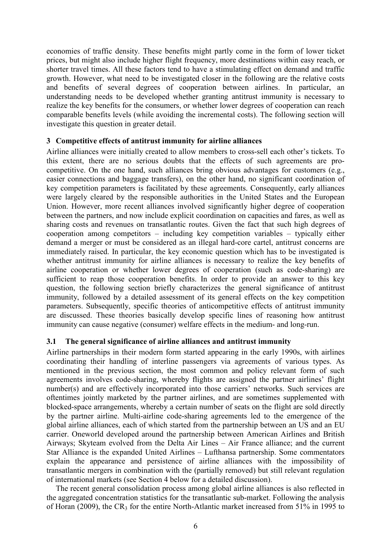economies of traffic density. These benefits might partly come in the form of lower ticket prices, but might also include higher flight frequency, more destinations within easy reach, or shorter travel times. All these factors tend to have a stimulating effect on demand and traffic growth. However, what need to be investigated closer in the following are the relative costs and benefits of several degrees of cooperation between airlines. In particular, an understanding needs to be developed whether granting antitrust immunity is necessary to realize the key benefits for the consumers, or whether lower degrees of cooperation can reach comparable benefits levels (while avoiding the incremental costs). The following section will investigate this question in greater detail.

### 3 Competitive effects of antitrust immunity for airline alliances

Airline alliances were initially created to allow members to cross-sell each other's tickets. To this extent, there are no serious doubts that the effects of such agreements are procompetitive. On the one hand, such alliances bring obvious advantages for customers (e.g., easier connections and baggage transfers), on the other hand, no significant coordination of key competition parameters is facilitated by these agreements. Consequently, early alliances were largely cleared by the responsible authorities in the United States and the European Union. However, more recent alliances involved significantly higher degree of cooperation between the partners, and now include explicit coordination on capacities and fares, as well as sharing costs and revenues on transatlantic routes. Given the fact that such high degrees of cooperation among competitors – including key competition variables – typically either demand a merger or must be considered as an illegal hard-core cartel, antitrust concerns are immediately raised. In particular, the key economic question which has to be investigated is whether antitrust immunity for airline alliances is necessary to realize the key benefits of airline cooperation or whether lower degrees of cooperation (such as code-sharing) are sufficient to reap those cooperation benefits. In order to provide an answer to this key question, the following section briefly characterizes the general significance of antitrust immunity, followed by a detailed assessment of its general effects on the key competition parameters. Subsequently, specific theories of anticompetitive effects of antitrust immunity are discussed. These theories basically develop specific lines of reasoning how antitrust immunity can cause negative (consumer) welfare effects in the medium- and long-run.

### 3.1 The general significance of airline alliances and antitrust immunity

Airline partnerships in their modern form started appearing in the early 1990s, with airlines coordinating their handling of interline passengers via agreements of various types. As mentioned in the previous section, the most common and policy relevant form of such agreements involves code-sharing, whereby flights are assigned the partner airlines' flight number(s) and are effectively incorporated into those carriers' networks. Such services are oftentimes jointly marketed by the partner airlines, and are sometimes supplemented with blocked-space arrangements, whereby a certain number of seats on the flight are sold directly by the partner airline. Multi-airline code-sharing agreements led to the emergence of the global airline alliances, each of which started from the partnership between an US and an EU carrier. Oneworld developed around the partnership between American Airlines and British Airways; Skyteam evolved from the Delta Air Lines – Air France alliance; and the current Star Alliance is the expanded United Airlines – Lufthansa partnership. Some commentators explain the appearance and persistence of airline alliances with the impossibility of transatlantic mergers in combination with the (partially removed) but still relevant regulation of international markets (see Section 4 below for a detailed discussion).

 The recent general consolidation process among global airline alliances is also reflected in the aggregated concentration statistics for the transatlantic sub-market. Following the analysis of Horan (2009), the  $CR_3$  for the entire North-Atlantic market increased from 51% in 1995 to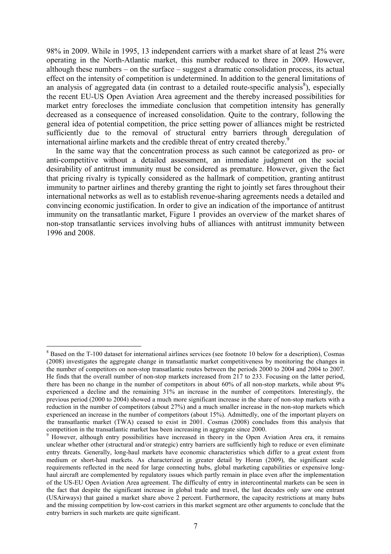98% in 2009. While in 1995, 13 independent carriers with a market share of at least 2% were operating in the North-Atlantic market, this number reduced to three in 2009. However, although these numbers – on the surface – suggest a dramatic consolidation process, its actual effect on the intensity of competition is undetermined. In addition to the general limitations of an analysis of aggregated data (in contrast to a detailed route-specific analysis $\delta$ ), especially the recent EU-US Open Aviation Area agreement and the thereby increased possibilities for market entry forecloses the immediate conclusion that competition intensity has generally decreased as a consequence of increased consolidation. Quite to the contrary, following the general idea of potential competition, the price setting power of alliances might be restricted sufficiently due to the removal of structural entry barriers through deregulation of international airline markets and the credible threat of entry created thereby.<sup>9</sup>

 In the same way that the concentration process as such cannot be categorized as pro- or anti-competitive without a detailed assessment, an immediate judgment on the social desirability of antitrust immunity must be considered as premature. However, given the fact that pricing rivalry is typically considered as the hallmark of competition, granting antitrust immunity to partner airlines and thereby granting the right to jointly set fares throughout their international networks as well as to establish revenue-sharing agreements needs a detailed and convincing economic justification. In order to give an indication of the importance of antitrust immunity on the transatlantic market, Figure 1 provides an overview of the market shares of non-stop transatlantic services involving hubs of alliances with antitrust immunity between 1996 and 2008.

 $8$  Based on the T-100 dataset for international airlines services (see footnote 10 below for a description), Cosmas (2008) investigates the aggregate change in transatlantic market competitiveness by monitoring the changes in the number of competitors on non-stop transatlantic routes between the periods 2000 to 2004 and 2004 to 2007. He finds that the overall number of non-stop markets increased from 217 to 233. Focusing on the latter period, there has been no change in the number of competitors in about 60% of all non-stop markets, while about 9% experienced a decline and the remaining 31% an increase in the number of competitors. Interestingly, the previous period (2000 to 2004) showed a much more significant increase in the share of non-stop markets with a reduction in the number of competitors (about 27%) and a much smaller increase in the non-stop markets which experienced an increase in the number of competitors (about 15%). Admittedly, one of the important players on the transatlantic market (TWA) ceased to exist in 2001. Cosmas (2008) concludes from this analysis that competition in the transatlantic market has been increasing in aggregate since 2000.

<sup>&</sup>lt;sup>9</sup> However, although entry possibilities have increased in theory in the Open Aviation Area era, it remains unclear whether other (structural and/or strategic) entry barriers are sufficiently high to reduce or even eliminate entry threats. Generally, long-haul markets have economic characteristics which differ to a great extent from medium or short-haul markets. As characterized in greater detail by Horan (2009), the significant scale requirements reflected in the need for large connecting hubs, global marketing capabilities or expensive longhaul aircraft are complemented by regulatory issues which partly remain in place even after the implementation of the US-EU Open Aviation Area agreement. The difficulty of entry in intercontinental markets can be seen in the fact that despite the significant increase in global trade and travel, the last decades only saw one entrant (USAirways) that gained a market share above 2 percent. Furthermore, the capacity restrictions at many hubs and the missing competition by low-cost carriers in this market segment are other arguments to conclude that the entry barriers in such markets are quite significant.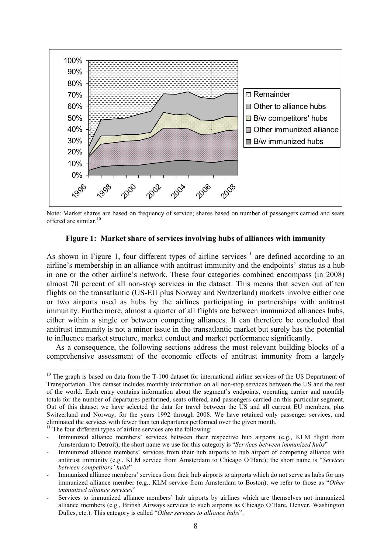

Note: Market shares are based on frequency of service; shares based on number of passengers carried and seats offered are similar.<sup>10</sup>

#### Figure 1: Market share of services involving hubs of alliances with immunity

As shown in Figure 1, four different types of airline services<sup>11</sup> are defined according to an airline's membership in an alliance with antitrust immunity and the endpoints' status as a hub in one or the other airline's network. These four categories combined encompass (in 2008) almost 70 percent of all non-stop services in the dataset. This means that seven out of ten flights on the transatlantic (US-EU plus Norway and Switzerland) markets involve either one or two airports used as hubs by the airlines participating in partnerships with antitrust immunity. Furthermore, almost a quarter of all flights are between immunized alliances hubs, either within a single or between competing alliances. It can therefore be concluded that antitrust immunity is not a minor issue in the transatlantic market but surely has the potential to influence market structure, market conduct and market performance significantly.

 As a consequence, the following sections address the most relevant building blocks of a comprehensive assessment of the economic effects of antitrust immunity from a largely

 $11$  The four different types of airline services are the following:

 $\overline{a}$ <sup>10</sup> The graph is based on data from the T-100 dataset for international airline services of the US Department of Transportation. This dataset includes monthly information on all non-stop services between the US and the rest of the world. Each entry contains information about the segment's endpoints, operating carrier and monthly totals for the number of departures performed, seats offered, and passengers carried on this particular segment. Out of this dataset we have selected the data for travel between the US and all current EU members, plus Switzerland and Norway, for the years 1992 through 2008. We have retained only passenger services, and eliminated the services with fewer than ten departures performed over the given month.

Immunized alliance members' services between their respective hub airports (e.g., KLM flight from Amsterdam to Detroit); the short name we use for this category is "Services between immunized hubs"

Immunized alliance members' services from their hub airports to hub airport of competing alliance with antitrust immunity (e.g., KLM service from Amsterdam to Chicago O'Hare); the short name is "Services between competitors' hubs"

Immunized alliance members' services from their hub airports to airports which do not serve as hubs for any immunized alliance member (e.g., KLM service from Amsterdam to Boston); we refer to those as "Other immunized alliance services"

<sup>-</sup> Services to immunized alliance members' hub airports by airlines which are themselves not immunized alliance members (e.g., British Airways services to such airports as Chicago O'Hare, Denver, Washington Dulles, etc.). This category is called "Other services to alliance hubs".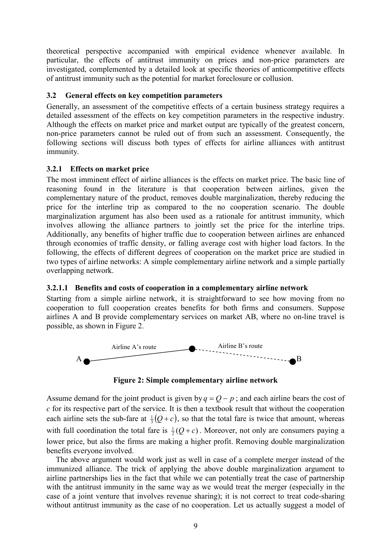theoretical perspective accompanied with empirical evidence whenever available. In particular, the effects of antitrust immunity on prices and non-price parameters are investigated, complemented by a detailed look at specific theories of anticompetitive effects of antitrust immunity such as the potential for market foreclosure or collusion.

# 3.2 General effects on key competition parameters

Generally, an assessment of the competitive effects of a certain business strategy requires a detailed assessment of the effects on key competition parameters in the respective industry. Although the effects on market price and market output are typically of the greatest concern, non-price parameters cannot be ruled out of from such an assessment. Consequently, the following sections will discuss both types of effects for airline alliances with antitrust immunity.

## 3.2.1 Effects on market price

The most imminent effect of airline alliances is the effects on market price. The basic line of reasoning found in the literature is that cooperation between airlines, given the complementary nature of the product, removes double marginalization, thereby reducing the price for the interline trip as compared to the no cooperation scenario. The double marginalization argument has also been used as a rationale for antitrust immunity, which involves allowing the alliance partners to jointly set the price for the interline trips. Additionally, any benefits of higher traffic due to cooperation between airlines are enhanced through economies of traffic density, or falling average cost with higher load factors. In the following, the effects of different degrees of cooperation on the market price are studied in two types of airline networks: A simple complementary airline network and a simple partially overlapping network.

# 3.2.1.1 Benefits and costs of cooperation in a complementary airline network

Starting from a simple airline network, it is straightforward to see how moving from no cooperation to full cooperation creates benefits for both firms and consumers. Suppose airlines A and B provide complementary services on market AB, where no on-line travel is possible, as shown in Figure 2.





Assume demand for the joint product is given by  $q = Q - p$ ; and each airline bears the cost of  $c$  for its respective part of the service. It is then a textbook result that without the cooperation each airline sets the sub-fare at  $\frac{1}{3}(Q + c)$ , so that the total fare is twice that amount, whereas with full coordination the total fare is  $\frac{1}{2}(Q + c)$ . Moreover, not only are consumers paying a lower price, but also the firms are making a higher profit. Removing double marginalization benefits everyone involved.

 The above argument would work just as well in case of a complete merger instead of the immunized alliance. The trick of applying the above double marginalization argument to airline partnerships lies in the fact that while we can potentially treat the case of partnership with the antitrust immunity in the same way as we would treat the merger (especially in the case of a joint venture that involves revenue sharing); it is not correct to treat code-sharing without antitrust immunity as the case of no cooperation. Let us actually suggest a model of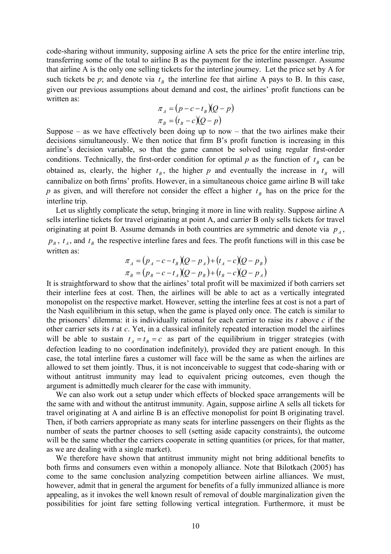code-sharing without immunity, supposing airline A sets the price for the entire interline trip, transferring some of the total to airline B as the payment for the interline passenger. Assume that airline A is the only one selling tickets for the interline journey. Let the price set by A for such tickets be p; and denote via  $t<sub>B</sub>$  the interline fee that airline A pays to B. In this case, given our previous assumptions about demand and cost, the airlines' profit functions can be written as:

$$
\pi_A = (p - c - t_B)(Q - p)
$$
  
\n
$$
\pi_B = (t_B - c)(Q - p)
$$

Suppose – as we have effectively been doing up to now – that the two airlines make their decisions simultaneously. We then notice that firm B's profit function is increasing in this airline's decision variable, so that the game cannot be solved using regular first-order conditions. Technically, the first-order condition for optimal  $p$  as the function of  $t<sub>B</sub>$  can be obtained as, clearly, the higher  $t<sub>B</sub>$ , the higher p and eventually the increase in  $t<sub>B</sub>$  will cannibalize on both firms' profits. However, in a simultaneous choice game airline B will take p as given, and will therefore not consider the effect a higher  $t_B$  has on the price for the interline trip.

 Let us slightly complicate the setup, bringing it more in line with reality. Suppose airline A sells interline tickets for travel originating at point A, and carrier B only sells tickets for travel originating at point B. Assume demands in both countries are symmetric and denote via  $p_A$ ,  $p_B$ ,  $t_A$ , and  $t_B$  the respective interline fares and fees. The profit functions will in this case be written as:

$$
\pi_A = (p_A - c - t_B)(Q - p_A) + (t_A - c)(Q - p_B)
$$
  
\n
$$
\pi_B = (p_B - c - t_A)(Q - p_B) + (t_B - c)(Q - p_A)
$$

It is straightforward to show that the airlines' total profit will be maximized if both carriers set their interline fees at cost. Then, the airlines will be able to act as a vertically integrated monopolist on the respective market. However, setting the interline fees at cost is not a part of the Nash equilibrium in this setup, when the game is played only once. The catch is similar to the prisoners' dilemma: it is individually rational for each carrier to raise its  $t$  above  $c$  if the other carrier sets its  $t$  at  $c$ . Yet, in a classical infinitely repeated interaction model the airlines will be able to sustain  $t_A = t_B = c$  as part of the equilibrium in trigger strategies (with defection leading to no coordination indefinitely), provided they are patient enough. In this case, the total interline fares a customer will face will be the same as when the airlines are allowed to set them jointly. Thus, it is not inconceivable to suggest that code-sharing with or without antitrust immunity may lead to equivalent pricing outcomes, even though the argument is admittedly much clearer for the case with immunity.

 We can also work out a setup under which effects of blocked space arrangements will be the same with and without the antitrust immunity. Again, suppose airline A sells all tickets for travel originating at A and airline B is an effective monopolist for point B originating travel. Then, if both carriers appropriate as many seats for interline passengers on their flights as the number of seats the partner chooses to sell (setting aside capacity constraints), the outcome will be the same whether the carriers cooperate in setting quantities (or prices, for that matter, as we are dealing with a single market).

 We therefore have shown that antitrust immunity might not bring additional benefits to both firms and consumers even within a monopoly alliance. Note that Bilotkach (2005) has come to the same conclusion analyzing competition between airline alliances. We must, however, admit that in general the argument for benefits of a fully immunized alliance is more appealing, as it invokes the well known result of removal of double marginalization given the possibilities for joint fare setting following vertical integration. Furthermore, it must be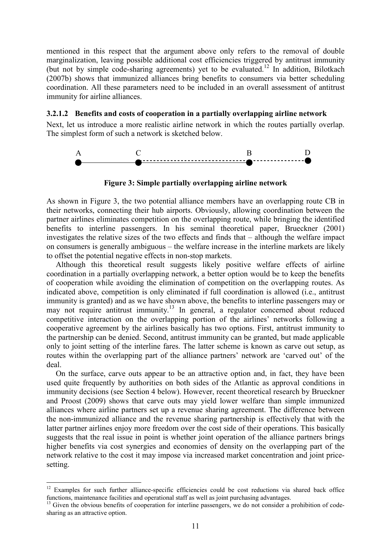mentioned in this respect that the argument above only refers to the removal of double marginalization, leaving possible additional cost efficiencies triggered by antitrust immunity (but not by simple code-sharing agreements) yet to be evaluated.<sup>12</sup> In addition, Bilotkach (2007b) shows that immunized alliances bring benefits to consumers via better scheduling coordination. All these parameters need to be included in an overall assessment of antitrust immunity for airline alliances.

### 3.2.1.2 Benefits and costs of cooperation in a partially overlapping airline network

Next, let us introduce a more realistic airline network in which the routes partially overlap. The simplest form of such a network is sketched below.



Figure 3: Simple partially overlapping airline network

As shown in Figure 3, the two potential alliance members have an overlapping route CB in their networks, connecting their hub airports. Obviously, allowing coordination between the partner airlines eliminates competition on the overlapping route, while bringing the identified benefits to interline passengers. In his seminal theoretical paper, Brueckner (2001) investigates the relative sizes of the two effects and finds that – although the welfare impact on consumers is generally ambiguous – the welfare increase in the interline markets are likely to offset the potential negative effects in non-stop markets.

 Although this theoretical result suggests likely positive welfare effects of airline coordination in a partially overlapping network, a better option would be to keep the benefits of cooperation while avoiding the elimination of competition on the overlapping routes. As indicated above, competition is only eliminated if full coordination is allowed (i.e., antitrust immunity is granted) and as we have shown above, the benefits to interline passengers may or may not require antitrust immunity.<sup>13</sup> In general, a regulator concerned about reduced competitive interaction on the overlapping portion of the airlines' networks following a cooperative agreement by the airlines basically has two options. First, antitrust immunity to the partnership can be denied. Second, antitrust immunity can be granted, but made applicable only to joint setting of the interline fares. The latter scheme is known as carve out setup, as routes within the overlapping part of the alliance partners' network are 'carved out' of the deal.

 On the surface, carve outs appear to be an attractive option and, in fact, they have been used quite frequently by authorities on both sides of the Atlantic as approval conditions in immunity decisions (see Section 4 below). However, recent theoretical research by Brueckner and Proost (2009) shows that carve outs may yield lower welfare than simple immunized alliances where airline partners set up a revenue sharing agreement. The difference between the non-immunized alliance and the revenue sharing partnership is effectively that with the latter partner airlines enjoy more freedom over the cost side of their operations. This basically suggests that the real issue in point is whether joint operation of the alliance partners brings higher benefits via cost synergies and economies of density on the overlapping part of the network relative to the cost it may impose via increased market concentration and joint pricesetting.

<sup>&</sup>lt;sup>12</sup> Examples for such further alliance-specific efficiencies could be cost reductions via shared back office functions, maintenance facilities and operational staff as well as joint purchasing advantages.

<sup>&</sup>lt;sup>13</sup> Given the obvious benefits of cooperation for interline passengers, we do not consider a prohibition of codesharing as an attractive option.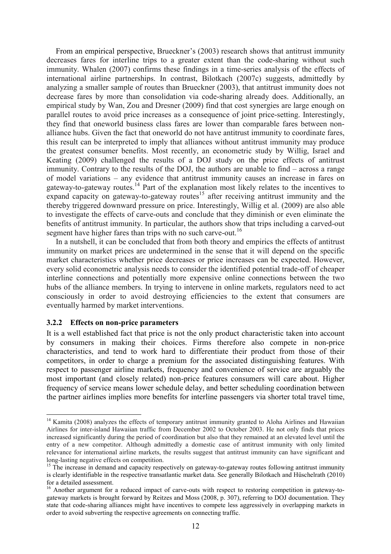From an empirical perspective, Brueckner's (2003) research shows that antitrust immunity decreases fares for interline trips to a greater extent than the code-sharing without such immunity. Whalen (2007) confirms these findings in a time-series analysis of the effects of international airline partnerships. In contrast, Bilotkach (2007c) suggests, admittedly by analyzing a smaller sample of routes than Brueckner (2003), that antitrust immunity does not decrease fares by more than consolidation via code-sharing already does. Additionally, an empirical study by Wan, Zou and Dresner (2009) find that cost synergies are large enough on parallel routes to avoid price increases as a consequence of joint price-setting. Interestingly, they find that oneworld business class fares are lower than comparable fares between nonalliance hubs. Given the fact that oneworld do not have antitrust immunity to coordinate fares, this result can be interpreted to imply that alliances without antitrust immunity may produce the greatest consumer benefits. Most recently, an econometric study by Willig, Israel and Keating (2009) challenged the results of a DOJ study on the price effects of antitrust immunity. Contrary to the results of the DOJ, the authors are unable to find – across a range of model variations – any evidence that antitrust immunity causes an increase in fares on gateway-to-gateway routes.<sup>14</sup> Part of the explanation most likely relates to the incentives to expand capacity on gateway-to-gateway routes<sup>15</sup> after receiving antitrust immunity and the thereby triggered downward pressure on price. Interestingly, Willig et al. (2009) are also able to investigate the effects of carve-outs and conclude that they diminish or even eliminate the benefits of antitrust immunity. In particular, the authors show that trips including a carved-out segment have higher fares than trips with no such carve-out.<sup>16</sup>

 In a nutshell, it can be concluded that from both theory and empirics the effects of antitrust immunity on market prices are undetermined in the sense that it will depend on the specific market characteristics whether price decreases or price increases can be expected. However, every solid econometric analysis needs to consider the identified potential trade-off of cheaper interline connections and potentially more expensive online connections between the two hubs of the alliance members. In trying to intervene in online markets, regulators need to act consciously in order to avoid destroying efficiencies to the extent that consumers are eventually harmed by market interventions.

### 3.2.2 Effects on non-price parameters

 $\overline{a}$ 

It is a well established fact that price is not the only product characteristic taken into account by consumers in making their choices. Firms therefore also compete in non-price characteristics, and tend to work hard to differentiate their product from those of their competitors, in order to charge a premium for the associated distinguishing features. With respect to passenger airline markets, frequency and convenience of service are arguably the most important (and closely related) non-price features consumers will care about. Higher frequency of service means lower schedule delay, and better scheduling coordination between the partner airlines implies more benefits for interline passengers via shorter total travel time,

<sup>&</sup>lt;sup>14</sup> Kamita (2008) analyzes the effects of temporary antitrust immunity granted to Aloha Airlines and Hawaiian Airlines for inter-island Hawaiian traffic from December 2002 to October 2003. He not only finds that prices increased significantly during the period of coordination but also that they remained at an elevated level until the entry of a new competitor. Although admittedly a domestic case of antitrust immunity with only limited relevance for international airline markets, the results suggest that antitrust immunity can have significant and long-lasting negative effects on competition.

<sup>&</sup>lt;sup>15</sup> The increase in demand and capacity respectively on gateway-to-gateway routes following antitrust immunity is clearly identifiable in the respective transatlantic market data. See generally Bilotkach and Hüschelrath (2010) for a detailed assessment.

<sup>&</sup>lt;sup>16</sup> Another argument for a reduced impact of carve-outs with respect to restoring competition in gateway-togateway markets is brought forward by Reitzes and Moss (2008, p. 307), referring to DOJ documentation. They state that code-sharing alliances might have incentives to compete less aggressively in overlapping markets in order to avoid subverting the respective agreements on connecting traffic.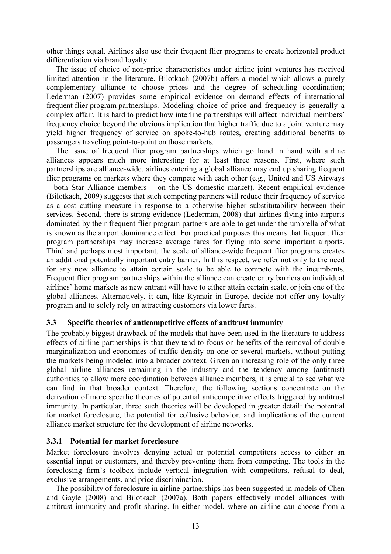other things equal. Airlines also use their frequent flier programs to create horizontal product differentiation via brand loyalty.

 The issue of choice of non-price characteristics under airline joint ventures has received limited attention in the literature. Bilotkach (2007b) offers a model which allows a purely complementary alliance to choose prices and the degree of scheduling coordination; Lederman (2007) provides some empirical evidence on demand effects of international frequent flier program partnerships. Modeling choice of price and frequency is generally a complex affair. It is hard to predict how interline partnerships will affect individual members' frequency choice beyond the obvious implication that higher traffic due to a joint venture may yield higher frequency of service on spoke-to-hub routes, creating additional benefits to passengers traveling point-to-point on those markets.

 The issue of frequent flier program partnerships which go hand in hand with airline alliances appears much more interesting for at least three reasons. First, where such partnerships are alliance-wide, airlines entering a global alliance may end up sharing frequent flier programs on markets where they compete with each other (e.g., United and US Airways – both Star Alliance members – on the US domestic market). Recent empirical evidence (Bilotkach, 2009) suggests that such competing partners will reduce their frequency of service as a cost cutting measure in response to a otherwise higher substitutability between their services. Second, there is strong evidence (Lederman, 2008) that airlines flying into airports dominated by their frequent flier program partners are able to get under the umbrella of what is known as the airport dominance effect. For practical purposes this means that frequent flier program partnerships may increase average fares for flying into some important airports. Third and perhaps most important, the scale of alliance-wide frequent flier programs creates an additional potentially important entry barrier. In this respect, we refer not only to the need for any new alliance to attain certain scale to be able to compete with the incumbents. Frequent flier program partnerships within the alliance can create entry barriers on individual airlines' home markets as new entrant will have to either attain certain scale, or join one of the global alliances. Alternatively, it can, like Ryanair in Europe, decide not offer any loyalty program and to solely rely on attracting customers via lower fares.

## 3.3 Specific theories of anticompetitive effects of antitrust immunity

The probably biggest drawback of the models that have been used in the literature to address effects of airline partnerships is that they tend to focus on benefits of the removal of double marginalization and economies of traffic density on one or several markets, without putting the markets being modeled into a broader context. Given an increasing role of the only three global airline alliances remaining in the industry and the tendency among (antitrust) authorities to allow more coordination between alliance members, it is crucial to see what we can find in that broader context. Therefore, the following sections concentrate on the derivation of more specific theories of potential anticompetitive effects triggered by antitrust immunity. In particular, three such theories will be developed in greater detail: the potential for market foreclosure, the potential for collusive behavior, and implications of the current alliance market structure for the development of airline networks.

# 3.3.1 Potential for market foreclosure

Market foreclosure involves denying actual or potential competitors access to either an essential input or customers, and thereby preventing them from competing. The tools in the foreclosing firm's toolbox include vertical integration with competitors, refusal to deal, exclusive arrangements, and price discrimination.

 The possibility of foreclosure in airline partnerships has been suggested in models of Chen and Gayle (2008) and Bilotkach (2007a). Both papers effectively model alliances with antitrust immunity and profit sharing. In either model, where an airline can choose from a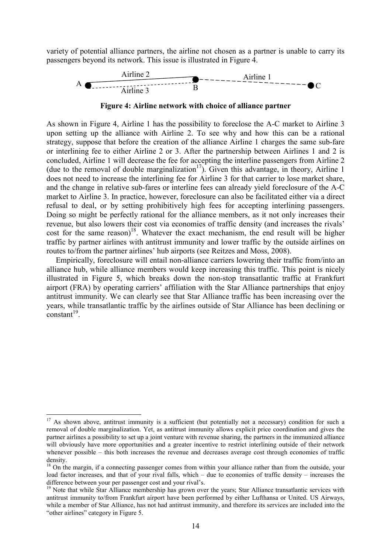variety of potential alliance partners, the airline not chosen as a partner is unable to carry its passengers beyond its network. This issue is illustrated in Figure 4.



Figure 4: Airline network with choice of alliance partner

As shown in Figure 4, Airline 1 has the possibility to foreclose the A-C market to Airline 3 upon setting up the alliance with Airline 2. To see why and how this can be a rational strategy, suppose that before the creation of the alliance Airline 1 charges the same sub-fare or interlining fee to either Airline 2 or 3. After the partnership between Airlines 1 and 2 is concluded, Airline 1 will decrease the fee for accepting the interline passengers from Airline 2 (due to the removal of double marginalization<sup>17</sup>). Given this advantage, in theory, Airline 1 does not need to increase the interlining fee for Airline 3 for that carrier to lose market share, and the change in relative sub-fares or interline fees can already yield foreclosure of the A-C market to Airline 3. In practice, however, foreclosure can also be facilitated either via a direct refusal to deal, or by setting prohibitively high fees for accepting interlining passengers. Doing so might be perfectly rational for the alliance members, as it not only increases their revenue, but also lowers their cost via economies of traffic density (and increases the rivals' cost for the same reason)<sup>18</sup>. Whatever the exact mechanism, the end result will be higher traffic by partner airlines with antitrust immunity and lower traffic by the outside airlines on routes to/from the partner airlines' hub airports (see Reitzes and Moss, 2008).

 Empirically, foreclosure will entail non-alliance carriers lowering their traffic from/into an alliance hub, while alliance members would keep increasing this traffic. This point is nicely illustrated in Figure 5, which breaks down the non-stop transatlantic traffic at Frankfurt airport (FRA) by operating carriers' affiliation with the Star Alliance partnerships that enjoy antitrust immunity. We can clearly see that Star Alliance traffic has been increasing over the years, while transatlantic traffic by the airlines outside of Star Alliance has been declining or  $constant^{19}$ .

<sup>&</sup>lt;sup>17</sup> As shown above, antitrust immunity is a sufficient (but potentially not a necessary) condition for such a removal of double marginalization. Yet, as antitrust immunity allows explicit price coordination and gives the partner airlines a possibility to set up a joint venture with revenue sharing, the partners in the immunized alliance will obviously have more opportunities and a greater incentive to restrict interlining outside of their network whenever possible – this both increases the revenue and decreases average cost through economies of traffic density.

<sup>&</sup>lt;sup>18</sup> On the margin, if a connecting passenger comes from within your alliance rather than from the outside, your load factor increases, and that of your rival falls, which – due to economies of traffic density – increases the difference between your per passenger cost and your rival's.

<sup>&</sup>lt;sup>19</sup> Note that while Star Alliance membership has grown over the years; Star Alliance transatlantic services with antitrust immunity to/from Frankfurt airport have been performed by either Lufthansa or United. US Airways, while a member of Star Alliance, has not had antitrust immunity, and therefore its services are included into the "other airlines" category in Figure 5.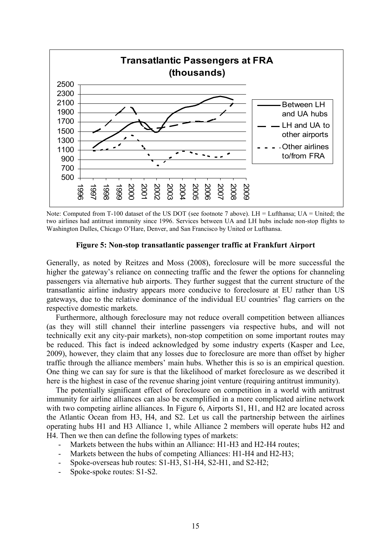

Note: Computed from T-100 dataset of the US DOT (see footnote 7 above). LH = Lufthansa; UA = United; the two airlines had antitrust immunity since 1996. Services between UA and LH hubs include non-stop flights to Washington Dulles, Chicago O'Hare, Denver, and San Francisco by United or Lufthansa.

#### Figure 5: Non-stop transatlantic passenger traffic at Frankfurt Airport

Generally, as noted by Reitzes and Moss (2008), foreclosure will be more successful the higher the gateway's reliance on connecting traffic and the fewer the options for channeling passengers via alternative hub airports. They further suggest that the current structure of the transatlantic airline industry appears more conducive to foreclosure at EU rather than US gateways, due to the relative dominance of the individual EU countries' flag carriers on the respective domestic markets.

 Furthermore, although foreclosure may not reduce overall competition between alliances (as they will still channel their interline passengers via respective hubs, and will not technically exit any city-pair markets), non-stop competition on some important routes may be reduced. This fact is indeed acknowledged by some industry experts (Kasper and Lee, 2009), however, they claim that any losses due to foreclosure are more than offset by higher traffic through the alliance members' main hubs. Whether this is so is an empirical question. One thing we can say for sure is that the likelihood of market foreclosure as we described it here is the highest in case of the revenue sharing joint venture (requiring antitrust immunity).

 The potentially significant effect of foreclosure on competition in a world with antitrust immunity for airline alliances can also be exemplified in a more complicated airline network with two competing airline alliances. In Figure 6, Airports S1, H1, and H2 are located across the Atlantic Ocean from H3, H4, and S2. Let us call the partnership between the airlines operating hubs H1 and H3 Alliance 1, while Alliance 2 members will operate hubs H2 and H4. Then we then can define the following types of markets:

- Markets between the hubs within an Alliance: H1-H3 and H2-H4 routes;
- Markets between the hubs of competing Alliances: H1-H4 and H2-H3;
- Spoke-overseas hub routes: S1-H3, S1-H4, S2-H1, and S2-H2;
- Spoke-spoke routes: S1-S2.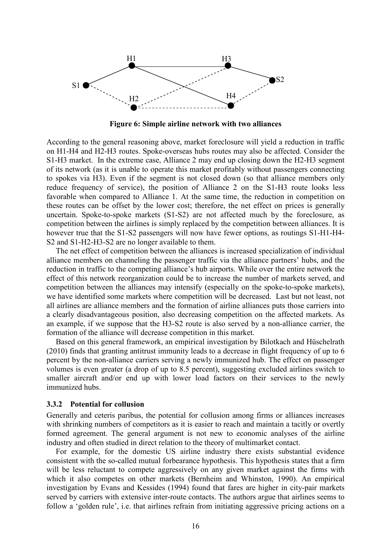

Figure 6: Simple airline network with two alliances

According to the general reasoning above, market foreclosure will yield a reduction in traffic on H1-H4 and H2-H3 routes. Spoke-overseas hubs routes may also be affected. Consider the S1-H3 market. In the extreme case, Alliance 2 may end up closing down the H2-H3 segment of its network (as it is unable to operate this market profitably without passengers connecting to spokes via H3). Even if the segment is not closed down (so that alliance members only reduce frequency of service), the position of Alliance 2 on the S1-H3 route looks less favorable when compared to Alliance 1. At the same time, the reduction in competition on these routes can be offset by the lower cost; therefore, the net effect on prices is generally uncertain. Spoke-to-spoke markets (S1-S2) are not affected much by the foreclosure, as competition between the airlines is simply replaced by the competition between alliances. It is however true that the S1-S2 passengers will now have fewer options, as routings S1-H1-H4- S2 and S1-H2-H3-S2 are no longer available to them.

 The net effect of competition between the alliances is increased specialization of individual alliance members on channeling the passenger traffic via the alliance partners' hubs, and the reduction in traffic to the competing alliance's hub airports. While over the entire network the effect of this network reorganization could be to increase the number of markets served, and competition between the alliances may intensify (especially on the spoke-to-spoke markets), we have identified some markets where competition will be decreased. Last but not least, not all airlines are alliance members and the formation of airline alliances puts those carriers into a clearly disadvantageous position, also decreasing competition on the affected markets. As an example, if we suppose that the H3-S2 route is also served by a non-alliance carrier, the formation of the alliance will decrease competition in this market.

 Based on this general framework, an empirical investigation by Bilotkach and Hüschelrath (2010) finds that granting antitrust immunity leads to a decrease in flight frequency of up to 6 percent by the non-alliance carriers serving a newly immunized hub. The effect on passenger volumes is even greater (a drop of up to 8.5 percent), suggesting excluded airlines switch to smaller aircraft and/or end up with lower load factors on their services to the newly immunized hubs.

#### 3.3.2 Potential for collusion

Generally and ceteris paribus, the potential for collusion among firms or alliances increases with shrinking numbers of competitors as it is easier to reach and maintain a tacitly or overtly formed agreement. The general argument is not new to economic analyses of the airline industry and often studied in direct relation to the theory of multimarket contact.

 For example, for the domestic US airline industry there exists substantial evidence consistent with the so-called mutual forbearance hypothesis. This hypothesis states that a firm will be less reluctant to compete aggressively on any given market against the firms with which it also competes on other markets (Bernheim and Whinston, 1990). An empirical investigation by Evans and Kessides (1994) found that fares are higher in city-pair markets served by carriers with extensive inter-route contacts. The authors argue that airlines seems to follow a 'golden rule', i.e. that airlines refrain from initiating aggressive pricing actions on a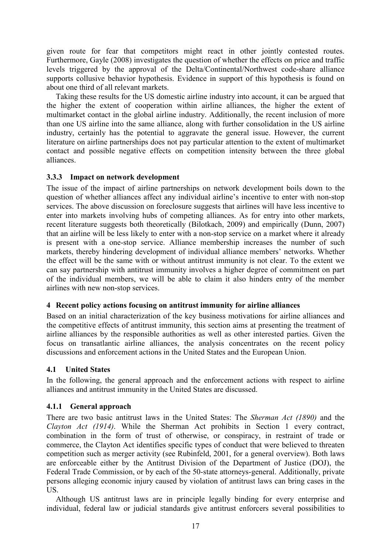given route for fear that competitors might react in other jointly contested routes. Furthermore, Gayle (2008) investigates the question of whether the effects on price and traffic levels triggered by the approval of the Delta/Continental/Northwest code-share alliance supports collusive behavior hypothesis. Evidence in support of this hypothesis is found on about one third of all relevant markets.

 Taking these results for the US domestic airline industry into account, it can be argued that the higher the extent of cooperation within airline alliances, the higher the extent of multimarket contact in the global airline industry. Additionally, the recent inclusion of more than one US airline into the same alliance, along with further consolidation in the US airline industry, certainly has the potential to aggravate the general issue. However, the current literature on airline partnerships does not pay particular attention to the extent of multimarket contact and possible negative effects on competition intensity between the three global alliances.

## 3.3.3 Impact on network development

The issue of the impact of airline partnerships on network development boils down to the question of whether alliances affect any individual airline's incentive to enter with non-stop services. The above discussion on foreclosure suggests that airlines will have less incentive to enter into markets involving hubs of competing alliances. As for entry into other markets, recent literature suggests both theoretically (Bilotkach, 2009) and empirically (Dunn, 2007) that an airline will be less likely to enter with a non-stop service on a market where it already is present with a one-stop service. Alliance membership increases the number of such markets, thereby hindering development of individual alliance members' networks. Whether the effect will be the same with or without antitrust immunity is not clear. To the extent we can say partnership with antitrust immunity involves a higher degree of commitment on part of the individual members, we will be able to claim it also hinders entry of the member airlines with new non-stop services.

### 4 Recent policy actions focusing on antitrust immunity for airline alliances

Based on an initial characterization of the key business motivations for airline alliances and the competitive effects of antitrust immunity, this section aims at presenting the treatment of airline alliances by the responsible authorities as well as other interested parties. Given the focus on transatlantic airline alliances, the analysis concentrates on the recent policy discussions and enforcement actions in the United States and the European Union.

# 4.1 United States

In the following, the general approach and the enforcement actions with respect to airline alliances and antitrust immunity in the United States are discussed.

# 4.1.1 General approach

There are two basic antitrust laws in the United States: The *Sherman Act (1890)* and the Clayton Act (1914). While the Sherman Act prohibits in Section 1 every contract, combination in the form of trust of otherwise, or conspiracy, in restraint of trade or commerce, the Clayton Act identifies specific types of conduct that were believed to threaten competition such as merger activity (see Rubinfeld, 2001, for a general overview). Both laws are enforceable either by the Antitrust Division of the Department of Justice (DOJ), the Federal Trade Commission, or by each of the 50-state attorneys-general. Additionally, private persons alleging economic injury caused by violation of antitrust laws can bring cases in the US.

 Although US antitrust laws are in principle legally binding for every enterprise and individual, federal law or judicial standards give antitrust enforcers several possibilities to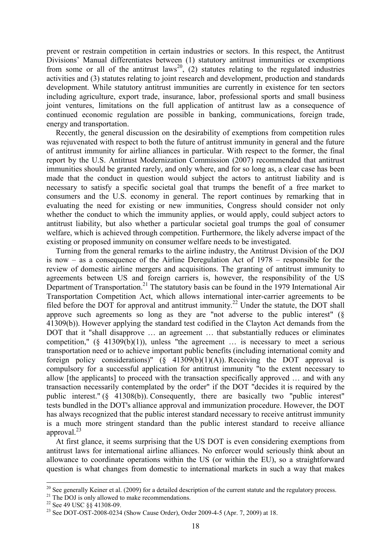prevent or restrain competition in certain industries or sectors. In this respect, the Antitrust Divisions' Manual differentiates between (1) statutory antitrust immunities or exemptions from some or all of the antitrust laws<sup>20</sup>, (2) statutes relating to the regulated industries activities and (3) statutes relating to joint research and development, production and standards development. While statutory antitrust immunities are currently in existence for ten sectors including agriculture, export trade, insurance, labor, professional sports and small business joint ventures, limitations on the full application of antitrust law as a consequence of continued economic regulation are possible in banking, communications, foreign trade, energy and transportation.

 Recently, the general discussion on the desirability of exemptions from competition rules was rejuvenated with respect to both the future of antitrust immunity in general and the future of antitrust immunity for airline alliances in particular. With respect to the former, the final report by the U.S. Antitrust Modernization Commission (2007) recommended that antitrust immunities should be granted rarely, and only where, and for so long as, a clear case has been made that the conduct in question would subject the actors to antitrust liability and is necessary to satisfy a specific societal goal that trumps the benefit of a free market to consumers and the U.S. economy in general. The report continues by remarking that in evaluating the need for existing or new immunities, Congress should consider not only whether the conduct to which the immunity applies, or would apply, could subject actors to antitrust liability, but also whether a particular societal goal trumps the goal of consumer welfare, which is achieved through competition. Furthermore, the likely adverse impact of the existing or proposed immunity on consumer welfare needs to be investigated.

 Turning from the general remarks to the airline industry, the Antitrust Division of the DOJ is now – as a consequence of the Airline Deregulation Act of 1978 – responsible for the review of domestic airline mergers and acquisitions. The granting of antitrust immunity to agreements between US and foreign carriers is, however, the responsibility of the US Department of Transportation.<sup>21</sup> The statutory basis can be found in the 1979 International Air Transportation Competition Act, which allows international inter-carrier agreements to be filed before the DOT for approval and antitrust immunity.<sup>22</sup> Under the statute, the DOT shall approve such agreements so long as they are "not adverse to the public interest" (§ 41309(b)). However applying the standard test codified in the Clayton Act demands from the DOT that it "shall disapprove ... an agreement ... that substantially reduces or eliminates competition,"  $(\S$  41309(b)(1)), unless "the agreement ... is necessary to meet a serious transportation need or to achieve important public benefits (including international comity and foreign policy considerations)" (§ 41309(b)(1)(A)). Receiving the DOT approval is compulsory for a successful application for antitrust immunity "to the extent necessary to allow [the applicants] to proceed with the transaction specifically approved … and with any transaction necessarily contemplated by the order" if the DOT "decides it is required by the public interest." (§ 41308(b)). Consequently, there are basically two "public interest" tests bundled in the DOT's alliance approval and immunization procedure. However, the DOT has always recognized that the public interest standard necessary to receive antitrust immunity is a much more stringent standard than the public interest standard to receive alliance approval.<sup>23</sup>

 At first glance, it seems surprising that the US DOT is even considering exemptions from antitrust laws for international airline alliances. No enforcer would seriously think about an allowance to coordinate operations within the US (or within the EU), so a straightforward question is what changes from domestic to international markets in such a way that makes

 $20$  See generally Keiner et al. (2009) for a detailed description of the current statute and the regulatory process.

 $21$  The DOJ is only allowed to make recommendations.

<sup>22</sup> See 49 USC §§ 41308-09.

<sup>&</sup>lt;sup>23</sup> See DOT-OST-2008-0234 (Show Cause Order), Order 2009-4-5 (Apr. 7, 2009) at 18.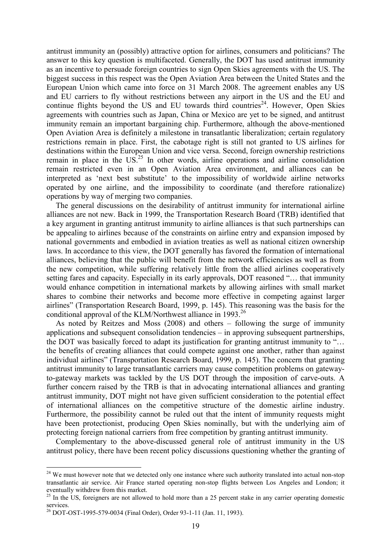antitrust immunity an (possibly) attractive option for airlines, consumers and politicians? The answer to this key question is multifaceted. Generally, the DOT has used antitrust immunity as an incentive to persuade foreign countries to sign Open Skies agreements with the US. The biggest success in this respect was the Open Aviation Area between the United States and the European Union which came into force on 31 March 2008. The agreement enables any US and EU carriers to fly without restrictions between any airport in the US and the EU and continue flights beyond the US and EU towards third countries<sup>24</sup>. However, Open Skies agreements with countries such as Japan, China or Mexico are yet to be signed, and antitrust immunity remain an important bargaining chip. Furthermore, although the above-mentioned Open Aviation Area is definitely a milestone in transatlantic liberalization; certain regulatory restrictions remain in place. First, the cabotage right is still not granted to US airlines for destinations within the European Union and vice versa. Second, foreign ownership restrictions remain in place in the  $US<sup>25</sup>$  In other words, airline operations and airline consolidation remain restricted even in an Open Aviation Area environment, and alliances can be interpreted as 'next best substitute' to the impossibility of worldwide airline networks operated by one airline, and the impossibility to coordinate (and therefore rationalize) operations by way of merging two companies.

 The general discussions on the desirability of antitrust immunity for international airline alliances are not new. Back in 1999, the Transportation Research Board (TRB) identified that a key argument in granting antitrust immunity to airline alliances is that such partnerships can be appealing to airlines because of the constraints on airline entry and expansion imposed by national governments and embodied in aviation treaties as well as national citizen ownership laws. In accordance to this view, the DOT generally has favored the formation of international alliances, believing that the public will benefit from the network efficiencies as well as from the new competition, while suffering relatively little from the allied airlines cooperatively setting fares and capacity. Especially in its early approvals, DOT reasoned "… that immunity would enhance competition in international markets by allowing airlines with small market shares to combine their networks and become more effective in competing against larger airlines" (Transportation Research Board, 1999, p. 145). This reasoning was the basis for the conditional approval of the KLM/Northwest alliance in 1993.<sup>26</sup>

 As noted by Reitzes and Moss (2008) and others – following the surge of immunity applications and subsequent consolidation tendencies – in approving subsequent partnerships, the DOT was basically forced to adapt its justification for granting antitrust immunity to "… the benefits of creating alliances that could compete against one another, rather than against individual airlines" (Transportation Research Board, 1999, p. 145). The concern that granting antitrust immunity to large transatlantic carriers may cause competition problems on gatewayto-gateway markets was tackled by the US DOT through the imposition of carve-outs. A further concern raised by the TRB is that in advocating international alliances and granting antitrust immunity, DOT might not have given sufficient consideration to the potential effect of international alliances on the competitive structure of the domestic airline industry. Furthermore, the possibility cannot be ruled out that the intent of immunity requests might have been protectionist, producing Open Skies nominally, but with the underlying aim of protecting foreign national carriers from free competition by granting antitrust immunity.

 Complementary to the above-discussed general role of antitrust immunity in the US antitrust policy, there have been recent policy discussions questioning whether the granting of

<sup>&</sup>lt;sup>24</sup> We must however note that we detected only one instance where such authority translated into actual non-stop transatlantic air service. Air France started operating non-stop flights between Los Angeles and London; it eventually withdrew from this market.

 $25$  In the US, foreigners are not allowed to hold more than a 25 percent stake in any carrier operating domestic services.

<sup>26</sup> DOT-OST-1995-579-0034 (Final Order), Order 93-1-11 (Jan. 11, 1993).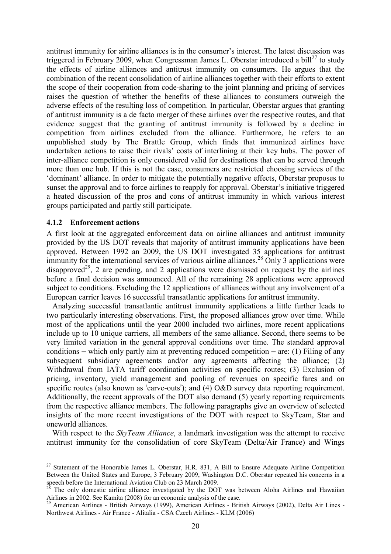antitrust immunity for airline alliances is in the consumer's interest. The latest discussion was triggered in February 2009, when Congressman James L. Oberstar introduced a bill<sup>27</sup> to study the effects of airline alliances and antitrust immunity on consumers. He argues that the combination of the recent consolidation of airline alliances together with their efforts to extent the scope of their cooperation from code-sharing to the joint planning and pricing of services raises the question of whether the benefits of these alliances to consumers outweigh the adverse effects of the resulting loss of competition. In particular, Oberstar argues that granting of antitrust immunity is a de facto merger of these airlines over the respective routes, and that evidence suggest that the granting of antitrust immunity is followed by a decline in competition from airlines excluded from the alliance. Furthermore, he refers to an unpublished study by The Brattle Group, which finds that immunized airlines have undertaken actions to raise their rivals' costs of interlining at their key hubs. The power of inter-alliance competition is only considered valid for destinations that can be served through more than one hub. If this is not the case, consumers are restricted choosing services of the 'dominant' alliance. In order to mitigate the potentially negative effects, Oberstar proposes to sunset the approval and to force airlines to reapply for approval. Oberstar's initiative triggered a heated discussion of the pros and cons of antitrust immunity in which various interest groups participated and partly still participate.

### 4.1.2 Enforcement actions

 $\overline{a}$ 

A first look at the aggregated enforcement data on airline alliances and antitrust immunity provided by the US DOT reveals that majority of antitrust immunity applications have been approved. Between 1992 an 2009, the US DOT investigated 35 applications for antitrust immunity for the international services of various airline alliances.<sup>28</sup> Only 3 applications were disapproved<sup>29</sup>, 2 are pending, and 2 applications were dismissed on request by the airlines before a final decision was announced. All of the remaining 28 applications were approved subject to conditions. Excluding the 12 applications of alliances without any involvement of a European carrier leaves 16 successful transatlantic applications for antitrust immunity.

 Analyzing successful transatlantic antitrust immunity applications a little further leads to two particularly interesting observations. First, the proposed alliances grow over time. While most of the applications until the year 2000 included two airlines, more recent applications include up to 10 unique carriers, all members of the same alliance. Second, there seems to be very limited variation in the general approval conditions over time. The standard approval conditions – which only partly aim at preventing reduced competition – are: (1) Filing of any subsequent subsidiary agreements and/or any agreements affecting the alliance; (2) Withdrawal from IATA tariff coordination activities on specific routes; (3) Exclusion of pricing, inventory, yield management and pooling of revenues on specific fares and on specific routes (also known as 'carve-outs'); and (4) O&D survey data reporting requirement. Additionally, the recent approvals of the DOT also demand (5) yearly reporting requirements from the respective alliance members. The following paragraphs give an overview of selected insights of the more recent investigations of the DOT with respect to SkyTeam, Star and oneworld alliances.

With respect to the *SkyTeam Alliance*, a landmark investigation was the attempt to receive antitrust immunity for the consolidation of core SkyTeam (Delta/Air France) and Wings

<sup>&</sup>lt;sup>27</sup> Statement of the Honorable James L. Oberstar, H.R. 831, A Bill to Ensure Adequate Airline Competition Between the United States and Europe, 3 February 2009, Washington D.C. Oberstar repeated his concerns in a speech before the International Aviation Club on 23 March 2009.

 $\delta$  The only domestic airline alliance investigated by the DOT was between Aloha Airlines and Hawaiian Airlines in 2002. See Kamita (2008) for an economic analysis of the case.

<sup>&</sup>lt;sup>29</sup> American Airlines - British Airways (1999), American Airlines - British Airways (2002), Delta Air Lines -Northwest Airlines - Air France - Alitalia - CSA Czech Airlines - KLM (2006)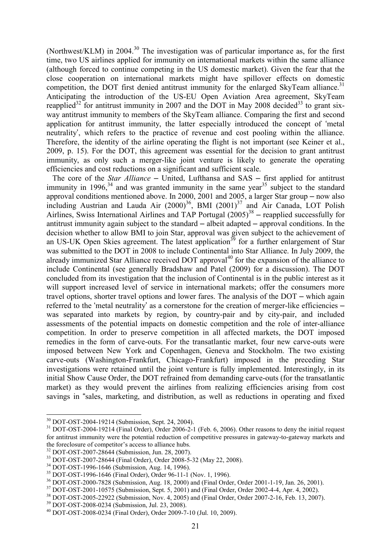(Northwest/KLM) in 2004.<sup>30</sup> The investigation was of particular importance as, for the first time, two US airlines applied for immunity on international markets within the same alliance (although forced to continue competing in the US domestic market). Given the fear that the close cooperation on international markets might have spillover effects on domestic competition, the DOT first denied antitrust immunity for the enlarged SkyTeam alliance.<sup>31</sup> Anticipating the introduction of the US-EU Open Aviation Area agreement, SkyTeam reapplied<sup>32</sup> for antitrust immunity in 2007 and the DOT in May 2008 decided<sup>33</sup> to grant sixway antitrust immunity to members of the SkyTeam alliance. Comparing the first and second application for antitrust immunity, the latter especially introduced the concept of 'metal neutrality', which refers to the practice of revenue and cost pooling within the alliance. Therefore, the identity of the airline operating the flight is not important (see Keiner et al., 2009, p. 15). For the DOT, this agreement was essential for the decision to grant antitrust immunity, as only such a merger-like joint venture is likely to generate the operating efficiencies and cost reductions on a significant and sufficient scale.

 The core of the Star Alliance – United, Lufthansa and SAS – first applied for antitrust immunity in 1996, $34$  and was granted immunity in the same year  $35$  subject to the standard approval conditions mentioned above. In 2000, 2001 and 2005, a larger Star group – now also including Austrian and Lauda Air  $(2000)^{36}$ , BMI  $(2001)^{37}$  and Air Canada, LOT Polish Airlines, Swiss International Airlines and TAP Portugal  $(2005)^{38}$  – reapplied successfully for antitrust immunity again subject to the standard – albeit adapted – approval conditions. In the decision whether to allow BMI to join Star, approval was given subject to the achievement of an US-UK Open Skies agreement. The latest application<sup>39</sup> for a further enlargement of Star was submitted to the DOT in 2008 to include Continental into Star Alliance. In July 2009, the already immunized Star Alliance received DOT approval<sup>40</sup> for the expansion of the alliance to include Continental (see generally Bradshaw and Patel (2009) for a discussion). The DOT concluded from its investigation that the inclusion of Continental is in the public interest as it will support increased level of service in international markets; offer the consumers more travel options, shorter travel options and lower fares. The analysis of the DOT – which again referred to the 'metal neutrality' as a cornerstone for the creation of merger-like efficiencies – was separated into markets by region, by country-pair and by city-pair, and included assessments of the potential impacts on domestic competition and the role of inter-alliance competition. In order to preserve competition in all affected markets, the DOT imposed remedies in the form of carve-outs. For the transatlantic market, four new carve-outs were imposed between New York and Copenhagen, Geneva and Stockholm. The two existing carve-outs (Washington-Frankfurt, Chicago-Frankfurt) imposed in the preceding Star investigations were retained until the joint venture is fully implemented. Interestingly, in its initial Show Cause Order, the DOT refrained from demanding carve-outs (for the transatlantic market) as they would prevent the airlines from realizing efficiencies arising from cost savings in "sales, marketing, and distribution, as well as reductions in operating and fixed

<sup>30</sup> DOT-OST-2004-19214 (Submission, Sept. 24, 2004).

 $31$  DOT-OST-2004-19214 (Final Order), Order 2006-2-1 (Feb. 6, 2006). Other reasons to deny the initial request for antitrust immunity were the potential reduction of competitive pressures in gateway-to-gateway markets and the foreclosure of competitor's access to alliance hubs.

<sup>32</sup> DOT-OST-2007-28644 (Submission, Jun. 28, 2007).

<sup>33</sup> DOT-OST-2007-28644 (Final Order), Order 2008-5-32 (May 22, 2008).

<sup>34</sup> DOT-OST-1996-1646 (Submission, Aug. 14, 1996).

<sup>35</sup> DOT-OST-1996-1646 (Final Order), Order 96-11-1 (Nov. 1, 1996).

<sup>36</sup> DOT-OST-2000-7828 (Submission, Aug. 18, 2000) and (Final Order, Order 2001-1-19, Jan. 26, 2001).

<sup>37</sup> DOT-OST-2001-10575 (Submission, Sept. 5, 2001) and (Final Order, Order 2002-4-4, Apr. 4, 2002).

 $38$  DOT-OST-2005-22922 (Submission, Nov. 4, 2005) and (Final Order, Order 2007-2-16, Feb. 13, 2007).

<sup>39</sup> DOT-OST-2008-0234 (Submission, Jul. 23, 2008).

<sup>40</sup> DOT-OST-2008-0234 (Final Order), Order 2009-7-10 (Jul. 10, 2009).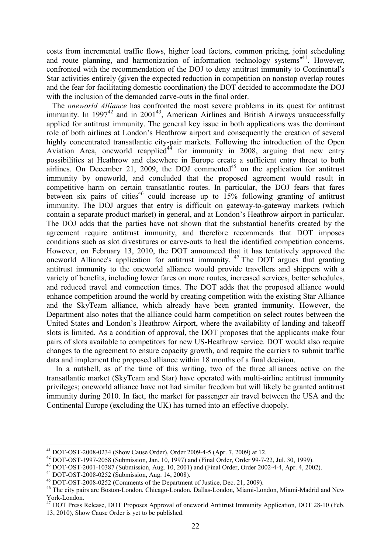costs from incremental traffic flows, higher load factors, common pricing, joint scheduling and route planning, and harmonization of information technology systems" <sup>41</sup>. However, confronted with the recommendation of the DOJ to deny antitrust immunity to Continental's Star activities entirely (given the expected reduction in competition on nonstop overlap routes and the fear for facilitating domestic coordination) the DOT decided to accommodate the DOJ with the inclusion of the demanded carve-outs in the final order.

 The oneworld Alliance has confronted the most severe problems in its quest for antitrust immunity. In 1997<sup>42</sup> and in 2001<sup>43</sup>, American Airlines and British Airways unsuccessfully applied for antitrust immunity. The general key issue in both applications was the dominant role of both airlines at London's Heathrow airport and consequently the creation of several highly concentrated transatlantic city-pair markets. Following the introduction of the Open Aviation Area, oneworld reapplied<sup>44</sup> for immunity in  $2008$ , arguing that new entry possibilities at Heathrow and elsewhere in Europe create a sufficient entry threat to both airlines. On December 21, 2009, the DOJ commented<sup>45</sup> on the application for antitrust immunity by oneworld, and concluded that the proposed agreement would result in competitive harm on certain transatlantic routes. In particular, the DOJ fears that fares between six pairs of cities<sup>46</sup> could increase up to  $15\%$  following granting of antitrust immunity. The DOJ argues that entry is difficult on gateway-to-gateway markets (which contain a separate product market) in general, and at London's Heathrow airport in particular. The DOJ adds that the parties have not shown that the substantial benefits created by the agreement require antitrust immunity, and therefore recommends that DOT imposes conditions such as slot divestitures or carve-outs to heal the identified competition concerns. However, on February 13, 2010, the DOT announced that it has tentatively approved the oneworld Alliance's application for antitrust immunity.<sup> $47$ </sup> The DOT argues that granting antitrust immunity to the oneworld alliance would provide travellers and shippers with a variety of benefits, including lower fares on more routes, increased services, better schedules, and reduced travel and connection times. The DOT adds that the proposed alliance would enhance competition around the world by creating competition with the existing Star Alliance and the SkyTeam alliance, which already have been granted immunity. However, the Department also notes that the alliance could harm competition on select routes between the United States and London's Heathrow Airport, where the availability of landing and takeoff slots is limited. As a condition of approval, the DOT proposes that the applicants make four pairs of slots available to competitors for new US-Heathrow service. DOT would also require changes to the agreement to ensure capacity growth, and require the carriers to submit traffic data and implement the proposed alliance within 18 months of a final decision.

 In a nutshell, as of the time of this writing, two of the three alliances active on the transatlantic market (SkyTeam and Star) have operated with multi-airline antitrust immunity privileges; oneworld alliance have not had similar freedom but will likely be granted antitrust immunity during 2010. In fact, the market for passenger air travel between the USA and the Continental Europe (excluding the UK) has turned into an effective duopoly.

<sup>41</sup> DOT-OST-2008-0234 (Show Cause Order), Order 2009-4-5 (Apr. 7, 2009) at 12.

<sup>42</sup> DOT-OST-1997-2058 (Submission, Jan. 10, 1997) and (Final Order, Order 99-7-22, Jul. 30, 1999).

<sup>43</sup> DOT-OST-2001-10387 (Submission, Aug. 10, 2001) and (Final Order, Order 2002-4-4, Apr. 4, 2002).

<sup>44</sup> DOT-OST-2008-0252 (Submission, Aug. 14, 2008).

<sup>45</sup> DOT-OST-2008-0252 (Comments of the Department of Justice, Dec. 21, 2009).

<sup>46</sup> The city pairs are Boston-London, Chicago-London, Dallas-London, Miami-London, Miami-Madrid and New York-London.

<sup>&</sup>lt;sup>47</sup> DOT Press Release, DOT Proposes Approval of oneworld Antitrust Immunity Application, DOT 28-10 (Feb. 13, 2010), Show Cause Order is yet to be published.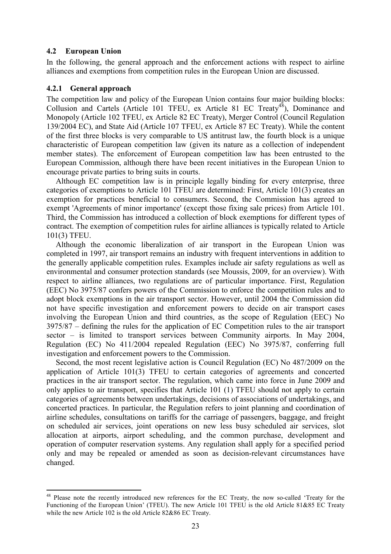### 4.2 European Union

In the following, the general approach and the enforcement actions with respect to airline alliances and exemptions from competition rules in the European Union are discussed.

#### 4.2.1 General approach

 $\overline{a}$ 

The competition law and policy of the European Union contains four major building blocks: Collusion and Cartels (Article 101 TFEU, ex Article 81 EC Treaty<sup>48</sup>), Dominance and Monopoly (Article 102 TFEU, ex Article 82 EC Treaty), Merger Control (Council Regulation 139/2004 EC), and State Aid (Article 107 TFEU, ex Article 87 EC Treaty). While the content of the first three blocks is very comparable to US antitrust law, the fourth block is a unique characteristic of European competition law (given its nature as a collection of independent member states). The enforcement of European competition law has been entrusted to the European Commission, although there have been recent initiatives in the European Union to encourage private parties to bring suits in courts.

 Although EC competition law is in principle legally binding for every enterprise, three categories of exemptions to Article 101 TFEU are determined: First, Article 101(3) creates an exemption for practices beneficial to consumers. Second, the Commission has agreed to exempt 'Agreements of minor importance' (except those fixing sale prices) from Article 101. Third, the Commission has introduced a collection of block exemptions for different types of contract. The exemption of competition rules for airline alliances is typically related to Article 101(3) TFEU.

 Although the economic liberalization of air transport in the European Union was completed in 1997, air transport remains an industry with frequent interventions in addition to the generally applicable competition rules. Examples include air safety regulations as well as environmental and consumer protection standards (see Moussis, 2009, for an overview). With respect to airline alliances, two regulations are of particular importance. First, Regulation (EEC) No 3975/87 confers powers of the Commission to enforce the competition rules and to adopt block exemptions in the air transport sector. However, until 2004 the Commission did not have specific investigation and enforcement powers to decide on air transport cases involving the European Union and third countries, as the scope of Regulation (EEC) No 3975/87 – defining the rules for the application of EC Competition rules to the air transport sector – is limited to transport services between Community airports. In May 2004, Regulation (EC) No 411/2004 repealed Regulation (EEC) No 3975/87, conferring full investigation and enforcement powers to the Commission.

 Second, the most recent legislative action is Council Regulation (EC) No 487/2009 on the application of Article 101(3) TFEU to certain categories of agreements and concerted practices in the air transport sector. The regulation, which came into force in June 2009 and only applies to air transport, specifies that Article 101 (1) TFEU should not apply to certain categories of agreements between undertakings, decisions of associations of undertakings, and concerted practices. In particular, the Regulation refers to joint planning and coordination of airline schedules, consultations on tariffs for the carriage of passengers, baggage, and freight on scheduled air services, joint operations on new less busy scheduled air services, slot allocation at airports, airport scheduling, and the common purchase, development and operation of computer reservation systems. Any regulation shall apply for a specified period only and may be repealed or amended as soon as decision-relevant circumstances have changed.

<sup>&</sup>lt;sup>48</sup> Please note the recently introduced new references for the EC Treaty, the now so-called 'Treaty for the Functioning of the European Union' (TFEU). The new Article 101 TFEU is the old Article 81&85 EC Treaty while the new Article 102 is the old Article 82&86 EC Treaty.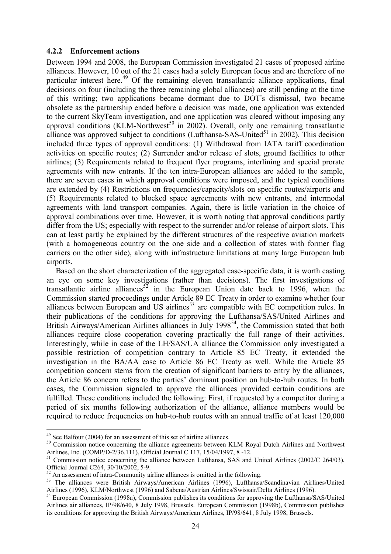#### 4.2.2 Enforcement actions

Between 1994 and 2008, the European Commission investigated 21 cases of proposed airline alliances. However, 10 out of the 21 cases had a solely European focus and are therefore of no particular interest here.<sup>49</sup> Of the remaining eleven transatlantic alliance applications, final decisions on four (including the three remaining global alliances) are still pending at the time of this writing; two applications became dormant due to DOT's dismissal, two became obsolete as the partnership ended before a decision was made, one application was extended to the current SkyTeam investigation, and one application was cleared without imposing any approval conditions (KLM-Northwest<sup>50</sup> in 2002). Overall, only one remaining transatlantic alliance was approved subject to conditions (Lufthansa-SAS-United $51$  in 2002). This decision included three types of approval conditions: (1) Withdrawal from IATA tariff coordination activities on specific routes; (2) Surrender and/or release of slots, ground facilities to other airlines; (3) Requirements related to frequent flyer programs, interlining and special prorate agreements with new entrants. If the ten intra-European alliances are added to the sample, there are seven cases in which approval conditions were imposed, and the typical conditions are extended by (4) Restrictions on frequencies/capacity/slots on specific routes/airports and (5) Requirements related to blocked space agreements with new entrants, and intermodal agreements with land transport companies. Again, there is little variation in the choice of approval combinations over time. However, it is worth noting that approval conditions partly differ from the US; especially with respect to the surrender and/or release of airport slots. This can at least partly be explained by the different structures of the respective aviation markets (with a homogeneous country on the one side and a collection of states with former flag carriers on the other side), along with infrastructure limitations at many large European hub airports.

 Based on the short characterization of the aggregated case-specific data, it is worth casting an eye on some key investigations (rather than decisions). The first investigations of transatlantic airline alliances<sup>52</sup> in the European Union date back to 1996, when the Commission started proceedings under Article 89 EC Treaty in order to examine whether four alliances between European and US airlines<sup>53</sup> are compatible with EC competition rules. In their publications of the conditions for approving the Lufthansa/SAS/United Airlines and British Airways/American Airlines alliances in July 1998<sup>54</sup>, the Commission stated that both alliances require close cooperation covering practically the full range of their activities. Interestingly, while in case of the LH/SAS/UA alliance the Commission only investigated a possible restriction of competition contrary to Article 85 EC Treaty, it extended the investigation in the BA/AA case to Article 86 EC Treaty as well. While the Article 85 competition concern stems from the creation of significant barriers to entry by the alliances, the Article 86 concern refers to the parties' dominant position on hub-to-hub routes. In both cases, the Commission signaled to approve the alliances provided certain conditions are fulfilled. These conditions included the following: First, if requested by a competitor during a period of six months following authorization of the alliance, alliance members would be required to reduce frequencies on hub-to-hub routes with an annual traffic of at least 120,000

 $49$  See Balfour (2004) for an assessment of this set of airline alliances.

<sup>&</sup>lt;sup>50</sup> Commission notice concerning the alliance agreements between KLM Royal Dutch Airlines and Northwest Airlines, Inc. (COMP/D-2/36.111), Official Journal C 117, 15/04/1997, 8 -12.

<sup>&</sup>lt;sup>51</sup> Commission notice concerning the alliance between Lufthansa, SAS and United Airlines (2002/C 264/03), Official Journal C264, 30/10/2002, 5-9.

 $52$  An assessment of intra-Community airline alliances is omitted in the following.

<sup>&</sup>lt;sup>53</sup> The alliances were British Airways/American Airlines (1996), Lufthansa/Scandinavian Airlines/United Airlines (1996), KLM/Northwest (1996) and Sabena/Austrian Airlines/Swissair/Delta Airlines (1996).

<sup>&</sup>lt;sup>54</sup> European Commission (1998a), Commission publishes its conditions for approving the Lufthansa/SAS/United Airlines air alliances, IP/98/640, 8 July 1998, Brussels. European Commission (1998b), Commission publishes its conditions for approving the British Airways/American Airlines, IP/98/641, 8 July 1998, Brussels.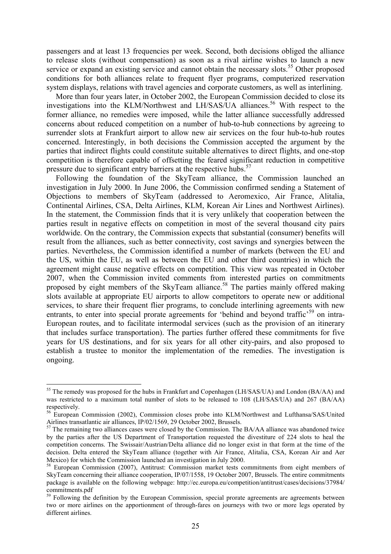passengers and at least 13 frequencies per week. Second, both decisions obliged the alliance to release slots (without compensation) as soon as a rival airline wishes to launch a new service or expand an existing service and cannot obtain the necessary slots.<sup>55</sup> Other proposed conditions for both alliances relate to frequent flyer programs, computerized reservation system displays, relations with travel agencies and corporate customers, as well as interlining.

 More than four years later, in October 2002, the European Commission decided to close its investigations into the KLM/Northwest and LH/SAS/UA alliances.<sup>56</sup> With respect to the former alliance, no remedies were imposed, while the latter alliance successfully addressed concerns about reduced competition on a number of hub-to-hub connections by agreeing to surrender slots at Frankfurt airport to allow new air services on the four hub-to-hub routes concerned. Interestingly, in both decisions the Commission accepted the argument by the parties that indirect flights could constitute suitable alternatives to direct flights, and one-stop competition is therefore capable of offsetting the feared significant reduction in competitive pressure due to significant entry barriers at the respective hubs.<sup>57</sup>

 Following the foundation of the SkyTeam alliance, the Commission launched an investigation in July 2000. In June 2006, the Commission confirmed sending a Statement of Objections to members of SkyTeam (addressed to Aeromexico, Air France, Alitalia, Continental Airlines, CSA, Delta Airlines, KLM, Korean Air Lines and Northwest Airlines). In the statement, the Commission finds that it is very unlikely that cooperation between the parties result in negative effects on competition in most of the several thousand city pairs worldwide. On the contrary, the Commission expects that substantial (consumer) benefits will result from the alliances, such as better connectivity, cost savings and synergies between the parties. Nevertheless, the Commission identified a number of markets (between the EU and the US, within the EU, as well as between the EU and other third countries) in which the agreement might cause negative effects on competition. This view was repeated in October 2007, when the Commission invited comments from interested parties on commitments proposed by eight members of the SkyTeam alliance.<sup>58</sup> The parties mainly offered making slots available at appropriate EU airports to allow competitors to operate new or additional services, to share their frequent flier programs, to conclude interlining agreements with new entrants, to enter into special prorate agreements for 'behind and beyond traffic<sup>59</sup> on intra-European routes, and to facilitate intermodal services (such as the provision of an itinerary that includes surface transportation). The parties further offered these commitments for five years for US destinations, and for six years for all other city-pairs, and also proposed to establish a trustee to monitor the implementation of the remedies. The investigation is ongoing.

<sup>&</sup>lt;sup>55</sup> The remedy was proposed for the hubs in Frankfurt and Copenhagen (LH/SAS/UA) and London (BA/AA) and was restricted to a maximum total number of slots to be released to 108 (LH/SAS/UA) and 267 (BA/AA) respectively.

<sup>&</sup>lt;sup>56</sup> European Commission (2002), Commission closes probe into KLM/Northwest and Lufthansa/SAS/United Airlines transatlantic air alliances, IP/02/1569, 29 October 2002, Brussels.

<sup>&</sup>lt;sup>57</sup> The remaining two alliances cases were closed by the Commission. The BA/AA alliance was abandoned twice by the parties after the US Department of Transportation requested the divestiture of 224 slots to heal the competition concerns. The Swissair/Austrian/Delta alliance did no longer exist in that form at the time of the decision. Delta entered the SkyTeam alliance (together with Air France, Alitalia, CSA, Korean Air and Aer Mexico) for which the Commission launched an investigation in July 2000.

<sup>&</sup>lt;sup>58</sup> European Commission (2007), Antitrust: Commission market tests commitments from eight members of SkyTeam concerning their alliance cooperation, IP/07/1558, 19 October 2007, Brussels. The entire commitments package is available on the following webpage: http://ec.europa.eu/competition/antitrust/cases/decisions/37984/ commitments.pdf

 $59$  Following the definition by the European Commission, special prorate agreements are agreements between two or more airlines on the apportionment of through-fares on journeys with two or more legs operated by different airlines.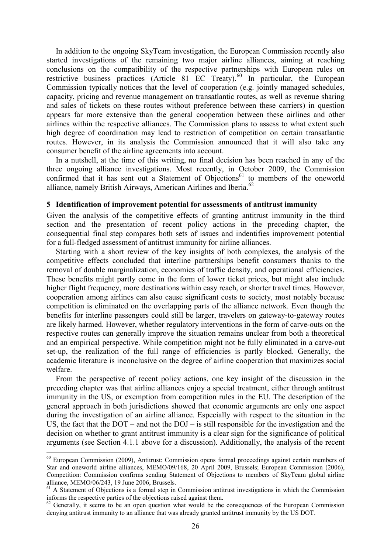In addition to the ongoing SkyTeam investigation, the European Commission recently also started investigations of the remaining two major airline alliances, aiming at reaching conclusions on the compatibility of the respective partnerships with European rules on restrictive business practices (Article 81 EC Treaty).<sup>60</sup> In particular, the European Commission typically notices that the level of cooperation (e.g. jointly managed schedules, capacity, pricing and revenue management on transatlantic routes, as well as revenue sharing and sales of tickets on these routes without preference between these carriers) in question appears far more extensive than the general cooperation between these airlines and other airlines within the respective alliances. The Commission plans to assess to what extent such high degree of coordination may lead to restriction of competition on certain transatlantic routes. However, in its analysis the Commission announced that it will also take any consumer benefit of the airline agreements into account.

 In a nutshell, at the time of this writing, no final decision has been reached in any of the three ongoing alliance investigations. Most recently, in October 2009, the Commission confirmed that it has sent out a Statement of Objections<sup>61</sup> to members of the oneworld alliance, namely British Airways, American Airlines and Iberia.<sup>62</sup>

#### 5 Identification of improvement potential for assessments of antitrust immunity

Given the analysis of the competitive effects of granting antitrust immunity in the third section and the presentation of recent policy actions in the preceding chapter, the consequential final step compares both sets of issues and indentifies improvement potential for a full-fledged assessment of antitrust immunity for airline alliances.

 Starting with a short review of the key insights of both complexes, the analysis of the competitive effects concluded that interline partnerships benefit consumers thanks to the removal of double marginalization, economies of traffic density, and operational efficiencies. These benefits might partly come in the form of lower ticket prices, but might also include higher flight frequency, more destinations within easy reach, or shorter travel times. However, cooperation among airlines can also cause significant costs to society, most notably because competition is eliminated on the overlapping parts of the alliance network. Even though the benefits for interline passengers could still be larger, travelers on gateway-to-gateway routes are likely harmed. However, whether regulatory interventions in the form of carve-outs on the respective routes can generally improve the situation remains unclear from both a theoretical and an empirical perspective. While competition might not be fully eliminated in a carve-out set-up, the realization of the full range of efficiencies is partly blocked. Generally, the academic literature is inconclusive on the degree of airline cooperation that maximizes social welfare.

 From the perspective of recent policy actions, one key insight of the discussion in the preceding chapter was that airline alliances enjoy a special treatment, either through antitrust immunity in the US, or exemption from competition rules in the EU. The description of the general approach in both jurisdictions showed that economic arguments are only one aspect during the investigation of an airline alliance. Especially with respect to the situation in the US, the fact that the DOT – and not the DOJ – is still responsible for the investigation and the decision on whether to grant antitrust immunity is a clear sign for the significance of political arguments (see Section 4.1.1 above for a discussion). Additionally, the analysis of the recent

<sup>60</sup> European Commission (2009), Antitrust: Commission opens formal proceedings against certain members of Star and oneworld airline alliances, MEMO/09/168, 20 April 2009, Brussels; European Commission (2006), Competition: Commission confirms sending Statement of Objections to members of SkyTeam global airline alliance, MEMO/06/243, 19 June 2006, Brussels.

<sup>&</sup>lt;sup>61</sup> A Statement of Objections is a formal step in Commission antitrust investigations in which the Commission informs the respective parties of the objections raised against them.

<sup>&</sup>lt;sup>62</sup> Generally, it seems to be an open question what would be the consequences of the European Commission denying antitrust immunity to an alliance that was already granted antitrust immunity by the US DOT.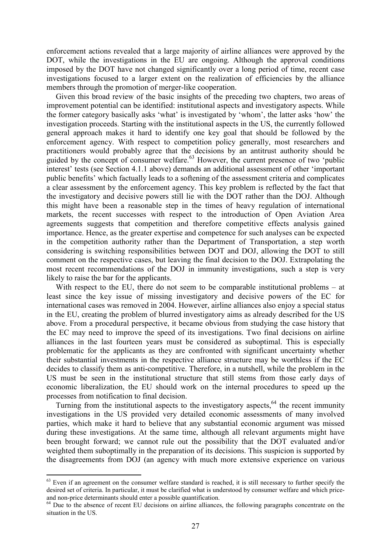enforcement actions revealed that a large majority of airline alliances were approved by the DOT, while the investigations in the EU are ongoing. Although the approval conditions imposed by the DOT have not changed significantly over a long period of time, recent case investigations focused to a larger extent on the realization of efficiencies by the alliance members through the promotion of merger-like cooperation.

 Given this broad review of the basic insights of the preceding two chapters, two areas of improvement potential can be identified: institutional aspects and investigatory aspects. While the former category basically asks 'what' is investigated by 'whom', the latter asks 'how' the investigation proceeds. Starting with the institutional aspects in the US, the currently followed general approach makes it hard to identify one key goal that should be followed by the enforcement agency. With respect to competition policy generally, most researchers and practitioners would probably agree that the decisions by an antitrust authority should be guided by the concept of consumer welfare.<sup>63</sup> However, the current presence of two 'public interest' tests (see Section 4.1.1 above) demands an additional assessment of other 'important public benefits' which factually leads to a softening of the assessment criteria and complicates a clear assessment by the enforcement agency. This key problem is reflected by the fact that the investigatory and decisive powers still lie with the DOT rather than the DOJ. Although this might have been a reasonable step in the times of heavy regulation of international markets, the recent successes with respect to the introduction of Open Aviation Area agreements suggests that competition and therefore competitive effects analysis gained importance. Hence, as the greater expertise and competence for such analyses can be expected in the competition authority rather than the Department of Transportation, a step worth considering is switching responsibilities between DOT and DOJ, allowing the DOT to still comment on the respective cases, but leaving the final decision to the DOJ. Extrapolating the most recent recommendations of the DOJ in immunity investigations, such a step is very likely to raise the bar for the applicants.

With respect to the EU, there do not seem to be comparable institutional problems – at least since the key issue of missing investigatory and decisive powers of the EC for international cases was removed in 2004. However, airline alliances also enjoy a special status in the EU, creating the problem of blurred investigatory aims as already described for the US above. From a procedural perspective, it became obvious from studying the case history that the EC may need to improve the speed of its investigations. Two final decisions on airline alliances in the last fourteen years must be considered as suboptimal. This is especially problematic for the applicants as they are confronted with significant uncertainty whether their substantial investments in the respective alliance structure may be worthless if the EC decides to classify them as anti-competitive. Therefore, in a nutshell, while the problem in the US must be seen in the institutional structure that still stems from those early days of economic liberalization, the EU should work on the internal procedures to speed up the processes from notification to final decision.

Turning from the institutional aspects to the investigatory aspects, $64$  the recent immunity investigations in the US provided very detailed economic assessments of many involved parties, which make it hard to believe that any substantial economic argument was missed during these investigations. At the same time, although all relevant arguments might have been brought forward; we cannot rule out the possibility that the DOT evaluated and/or weighted them suboptimally in the preparation of its decisions. This suspicion is supported by the disagreements from DOJ (an agency with much more extensive experience on various

 $63$  Even if an agreement on the consumer welfare standard is reached, it is still necessary to further specify the desired set of criteria. In particular, it must be clarified what is understood by consumer welfare and which priceand non-price determinants should enter a possible quantification.

<sup>&</sup>lt;sup>64</sup> Due to the absence of recent EU decisions on airline alliances, the following paragraphs concentrate on the situation in the US.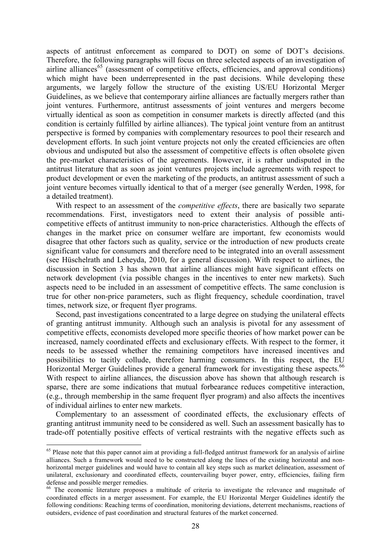aspects of antitrust enforcement as compared to DOT) on some of DOT's decisions. Therefore, the following paragraphs will focus on three selected aspects of an investigation of airline alliances $^{65}$  (assessment of competitive effects, efficiencies, and approval conditions) which might have been underrepresented in the past decisions. While developing these arguments, we largely follow the structure of the existing US/EU Horizontal Merger Guidelines, as we believe that contemporary airline alliances are factually mergers rather than joint ventures. Furthermore, antitrust assessments of joint ventures and mergers become virtually identical as soon as competition in consumer markets is directly affected (and this condition is certainly fulfilled by airline alliances). The typical joint venture from an antitrust perspective is formed by companies with complementary resources to pool their research and development efforts. In such joint venture projects not only the created efficiencies are often obvious and undisputed but also the assessment of competitive effects is often obsolete given the pre-market characteristics of the agreements. However, it is rather undisputed in the antitrust literature that as soon as joint ventures projects include agreements with respect to product development or even the marketing of the products, an antitrust assessment of such a joint venture becomes virtually identical to that of a merger (see generally Werden, 1998, for a detailed treatment).

With respect to an assessment of the *competitive effects*, there are basically two separate recommendations. First, investigators need to extent their analysis of possible anticompetitive effects of antitrust immunity to non-price characteristics. Although the effects of changes in the market price on consumer welfare are important, few economists would disagree that other factors such as quality, service or the introduction of new products create significant value for consumers and therefore need to be integrated into an overall assessment (see Hüschelrath and Leheyda, 2010, for a general discussion). With respect to airlines, the discussion in Section 3 has shown that airline alliances might have significant effects on network development (via possible changes in the incentives to enter new markets). Such aspects need to be included in an assessment of competitive effects. The same conclusion is true for other non-price parameters, such as flight frequency, schedule coordination, travel times, network size, or frequent flyer programs.

 Second, past investigations concentrated to a large degree on studying the unilateral effects of granting antitrust immunity. Although such an analysis is pivotal for any assessment of competitive effects, economists developed more specific theories of how market power can be increased, namely coordinated effects and exclusionary effects. With respect to the former, it needs to be assessed whether the remaining competitors have increased incentives and possibilities to tacitly collude, therefore harming consumers. In this respect, the EU Horizontal Merger Guidelines provide a general framework for investigating these aspects.<sup>66</sup> With respect to airline alliances, the discussion above has shown that although research is sparse, there are some indications that mutual forbearance reduces competitive interaction, (e.g., through membership in the same frequent flyer program) and also affects the incentives of individual airlines to enter new markets.

 Complementary to an assessment of coordinated effects, the exclusionary effects of granting antitrust immunity need to be considered as well. Such an assessment basically has to trade-off potentially positive effects of vertical restraints with the negative effects such as

<sup>&</sup>lt;sup>65</sup> Please note that this paper cannot aim at providing a full-fledged antitrust framework for an analysis of airline alliances. Such a framework would need to be constructed along the lines of the existing horizontal and nonhorizontal merger guidelines and would have to contain all key steps such as market delineation, assessment of unilateral, exclusionary and coordinated effects, countervailing buyer power, entry, efficiencies, failing firm defense and possible merger remedies.

<sup>66</sup> The economic literature proposes a multitude of criteria to investigate the relevance and magnitude of coordinated effects in a merger assessment. For example, the EU Horizontal Merger Guidelines identify the following conditions: Reaching terms of coordination, monitoring deviations, deterrent mechanisms, reactions of outsiders, evidence of past coordination and structural features of the market concerned.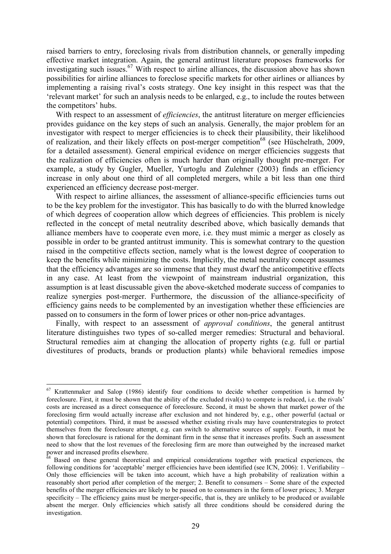raised barriers to entry, foreclosing rivals from distribution channels, or generally impeding effective market integration. Again, the general antitrust literature proposes frameworks for investigating such issues.<sup>67</sup> With respect to airline alliances, the discussion above has shown possibilities for airline alliances to foreclose specific markets for other airlines or alliances by implementing a raising rival's costs strategy. One key insight in this respect was that the 'relevant market' for such an analysis needs to be enlarged, e.g., to include the routes between the competitors' hubs.

With respect to an assessment of *efficiencies*, the antitrust literature on merger efficiencies provides guidance on the key steps of such an analysis. Generally, the major problem for an investigator with respect to merger efficiencies is to check their plausibility, their likelihood of realization, and their likely effects on post-merger competition<sup>68</sup> (see Hüschelrath, 2009, for a detailed assessment). General empirical evidence on merger efficiencies suggests that the realization of efficiencies often is much harder than originally thought pre-merger. For example, a study by Gugler, Mueller, Yurtoglu and Zulehner (2003) finds an efficiency increase in only about one third of all completed mergers, while a bit less than one third experienced an efficiency decrease post-merger.

With respect to airline alliances, the assessment of alliance-specific efficiencies turns out to be the key problem for the investigator. This has basically to do with the blurred knowledge of which degrees of cooperation allow which degrees of efficiencies. This problem is nicely reflected in the concept of metal neutrality described above, which basically demands that alliance members have to cooperate even more, i.e. they must mimic a merger as closely as possible in order to be granted antitrust immunity. This is somewhat contrary to the question raised in the competitive effects section, namely what is the lowest degree of cooperation to keep the benefits while minimizing the costs. Implicitly, the metal neutrality concept assumes that the efficiency advantages are so immense that they must dwarf the anticompetitive effects in any case. At least from the viewpoint of mainstream industrial organization, this assumption is at least discussable given the above-sketched moderate success of companies to realize synergies post-merger. Furthermore, the discussion of the alliance-specificity of efficiency gains needs to be complemented by an investigation whether these efficiencies are passed on to consumers in the form of lower prices or other non-price advantages.

Finally, with respect to an assessment of *approval conditions*, the general antitrust literature distinguishes two types of so-called merger remedies: Structural and behavioral. Structural remedies aim at changing the allocation of property rights (e.g. full or partial divestitures of products, brands or production plants) while behavioral remedies impose

 $\overline{a}$  $67$  Krattenmaker and Salop (1986) identify four conditions to decide whether competition is harmed by foreclosure. First, it must be shown that the ability of the excluded rival(s) to compete is reduced, i.e. the rivals' costs are increased as a direct consequence of foreclosure. Second, it must be shown that market power of the foreclosing firm would actually increase after exclusion and not hindered by, e.g., other powerful (actual or potential) competitors. Third, it must be assessed whether existing rivals may have counterstrategies to protect themselves from the foreclosure attempt, e.g. can switch to alternative sources of supply. Fourth, it must be shown that foreclosure is rational for the dominant firm in the sense that it increases profits. Such an assessment need to show that the lost revenues of the foreclosing firm are more than outweighed by the increased market power and increased profits elsewhere.

<sup>&</sup>lt;sup>68</sup> Based on these general theoretical and empirical considerations together with practical experiences, the following conditions for 'acceptable' merger efficiencies have been identified (see ICN, 2006): 1. Verifiability – Only those efficiencies will be taken into account, which have a high probability of realization within a reasonably short period after completion of the merger; 2. Benefit to consumers – Some share of the expected benefits of the merger efficiencies are likely to be passed on to consumers in the form of lower prices; 3. Merger specificity – The efficiency gains must be merger-specific, that is, they are unlikely to be produced or available absent the merger. Only efficiencies which satisfy all three conditions should be considered during the investigation.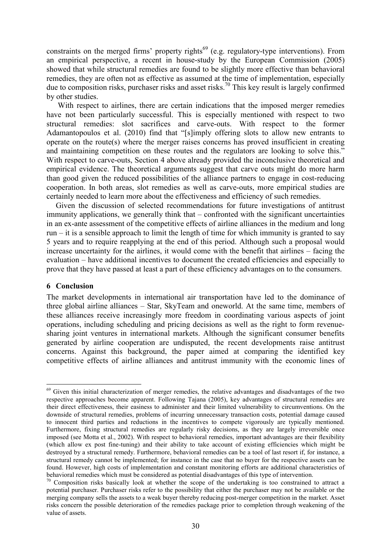constraints on the merged firms' property rights<sup>69</sup> (e.g. regulatory-type interventions). From an empirical perspective, a recent in house-study by the European Commission (2005) showed that while structural remedies are found to be slightly more effective than behavioral remedies, they are often not as effective as assumed at the time of implementation, especially due to composition risks, purchaser risks and asset risks.<sup>70</sup> This key result is largely confirmed by other studies

With respect to airlines, there are certain indications that the imposed merger remedies have not been particularly successful. This is especially mentioned with respect to two structural remedies: slot sacrifices and carve-outs. With respect to the former Adamantopoulos et al. (2010) find that "[s]imply offering slots to allow new entrants to operate on the route(s) where the merger raises concerns has proved insufficient in creating and maintaining competition on these routes and the regulators are looking to solve this." With respect to carve-outs, Section 4 above already provided the inconclusive theoretical and empirical evidence. The theoretical arguments suggest that carve outs might do more harm than good given the reduced possibilities of the alliance partners to engage in cost-reducing cooperation. In both areas, slot remedies as well as carve-outs, more empirical studies are certainly needed to learn more about the effectiveness and efficiency of such remedies.

 Given the discussion of selected recommendations for future investigations of antitrust immunity applications, we generally think that – confronted with the significant uncertainties in an ex-ante assessment of the competitive effects of airline alliances in the medium and long run – it is a sensible approach to limit the length of time for which immunity is granted to say 5 years and to require reapplying at the end of this period. Although such a proposal would increase uncertainty for the airlines, it would come with the benefit that airlines – facing the evaluation – have additional incentives to document the created efficiencies and especially to prove that they have passed at least a part of these efficiency advantages on to the consumers.

#### 6 Conclusion

The market developments in international air transportation have led to the dominance of three global airline alliances – Star, SkyTeam and oneworld. At the same time, members of these alliances receive increasingly more freedom in coordinating various aspects of joint operations, including scheduling and pricing decisions as well as the right to form revenuesharing joint ventures in international markets. Although the significant consumer benefits generated by airline cooperation are undisputed, the recent developments raise antitrust concerns. Against this background, the paper aimed at comparing the identified key competitive effects of airline alliances and antitrust immunity with the economic lines of

 $\overline{a}$  $69$  Given this initial characterization of merger remedies, the relative advantages and disadvantages of the two respective approaches become apparent. Following Tajana (2005), key advantages of structural remedies are their direct effectiveness, their easiness to administer and their limited vulnerability to circumventions. On the downside of structural remedies, problems of incurring unnecessary transaction costs, potential damage caused to innocent third parties and reductions in the incentives to compete vigorously are typically mentioned. Furthermore, fixing structural remedies are regularly risky decisions, as they are largely irreversible once imposed (see Motta et al., 2002). With respect to behavioral remedies, important advantages are their flexibility (which allow ex post fine-tuning) and their ability to take account of existing efficiencies which might be destroyed by a structural remedy. Furthermore, behavioral remedies can be a tool of last resort if, for instance, a structural remedy cannot be implemented; for instance in the case that no buyer for the respective assets can be found. However, high costs of implementation and constant monitoring efforts are additional characteristics of behavioral remedies which must be considered as potential disadvantages of this type of intervention.

<sup>&</sup>lt;sup>70</sup> Composition risks basically look at whether the scope of the undertaking is too constrained to attract a potential purchaser. Purchaser risks refer to the possibility that either the purchaser may not be available or the merging company sells the assets to a weak buyer thereby reducing post-merger competition in the market. Asset risks concern the possible deterioration of the remedies package prior to completion through weakening of the value of assets.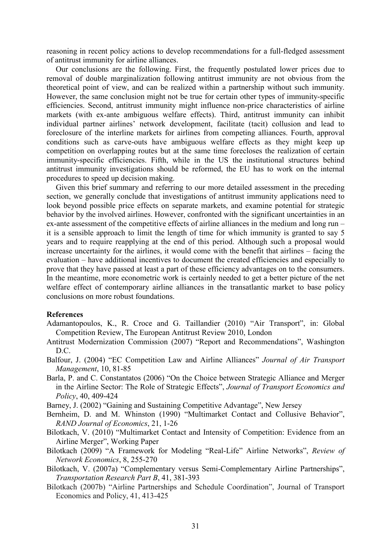reasoning in recent policy actions to develop recommendations for a full-fledged assessment of antitrust immunity for airline alliances.

 Our conclusions are the following. First, the frequently postulated lower prices due to removal of double marginalization following antitrust immunity are not obvious from the theoretical point of view, and can be realized within a partnership without such immunity. However, the same conclusion might not be true for certain other types of immunity-specific efficiencies. Second, antitrust immunity might influence non-price characteristics of airline markets (with ex-ante ambiguous welfare effects). Third, antitrust immunity can inhibit individual partner airlines' network development, facilitate (tacit) collusion and lead to foreclosure of the interline markets for airlines from competing alliances. Fourth, approval conditions such as carve-outs have ambiguous welfare effects as they might keep up competition on overlapping routes but at the same time forecloses the realization of certain immunity-specific efficiencies. Fifth, while in the US the institutional structures behind antitrust immunity investigations should be reformed, the EU has to work on the internal procedures to speed up decision making.

 Given this brief summary and referring to our more detailed assessment in the preceding section, we generally conclude that investigations of antitrust immunity applications need to look beyond possible price effects on separate markets, and examine potential for strategic behavior by the involved airlines. However, confronted with the significant uncertainties in an ex-ante assessment of the competitive effects of airline alliances in the medium and long run – it is a sensible approach to limit the length of time for which immunity is granted to say 5 years and to require reapplying at the end of this period. Although such a proposal would increase uncertainty for the airlines, it would come with the benefit that airlines – facing the evaluation – have additional incentives to document the created efficiencies and especially to prove that they have passed at least a part of these efficiency advantages on to the consumers. In the meantime, more econometric work is certainly needed to get a better picture of the net welfare effect of contemporary airline alliances in the transatlantic market to base policy conclusions on more robust foundations.

### **References**

- Adamantopoulos, K., R. Croce and G. Taillandier (2010) "Air Transport", in: Global Competition Review, The European Antitrust Review 2010, London
- Antitrust Modernization Commission (2007) "Report and Recommendations", Washington  $D C$
- Balfour, J. (2004) "EC Competition Law and Airline Alliances" Journal of Air Transport Management, 10, 81-85
- Barla, P. and C. Constantatos (2006) "On the Choice between Strategic Alliance and Merger in the Airline Sector: The Role of Strategic Effects", Journal of Transport Economics and Policy, 40, 409-424
- Barney, J. (2002) "Gaining and Sustaining Competitive Advantage", New Jersey
- Bernheim, D. and M. Whinston (1990) "Multimarket Contact and Collusive Behavior", RAND Journal of Economics, 21, 1-26
- Bilotkach, V. (2010) "Multimarket Contact and Intensity of Competition: Evidence from an Airline Merger", Working Paper
- Bilotkach (2009) "A Framework for Modeling "Real-Life" Airline Networks", Review of Network Economics, 8, 255-270
- Bilotkach, V. (2007a) "Complementary versus Semi-Complementary Airline Partnerships", Transportation Research Part B, 41, 381-393
- Bilotkach (2007b) "Airline Partnerships and Schedule Coordination", Journal of Transport Economics and Policy, 41, 413-425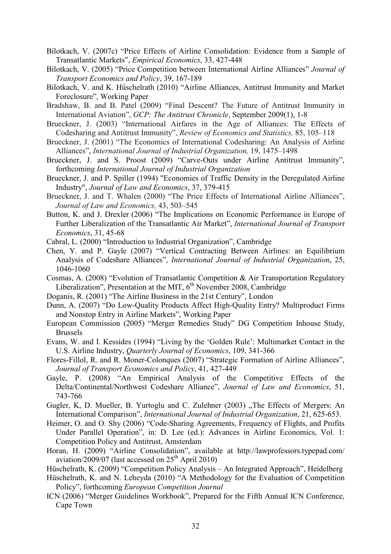- Bilotkach, V. (2007c) "Price Effects of Airline Consolidation: Evidence from a Sample of Transatlantic Markets", Empirical Economics, 33, 427-448
- Bilotkach, V. (2005) "Price Competition between International Airline Alliances" Journal of Transport Economics and Policy, 39, 167-189
- Bilotkach, V. and K. Hüschelrath (2010) "Airline Alliances, Antitrust Immunity and Market Foreclosure", Working Paper
- Bradshaw, B. and B. Patel (2009) "Final Descent? The Future of Antitrust Immunity in International Aviation", GCP: The Antitrust Chronicle, September 2009(1), 1-8
- Brueckner, J. (2003) "International Airfares in the Age of Alliances: The Effects of Codesharing and Antitrust Immunity", Review of Economics and Statistics, 85, 105–118
- Brueckner, J. (2001) "The Economics of International Codesharing: An Analysis of Airline Alliances", International Journal of Industrial Organization, 19, 1475–1498
- Brueckner, J. and S. Proost (2009) "Carve-Outs under Airline Antitrust Immunity", forthcoming International Journal of Industrial Organization
- Brueckner, J. and P. Spiller (1994) "Economies of Traffic Density in the Deregulated Airline Industry", Journal of Law and Economics, 37, 379-415
- Brueckner, J. and T. Whalen (2000) "The Price Effects of International Airline Alliances", Journal of Law and Economics, 43, 503–545
- Button, K. and J. Drexler (2006) "The Implications on Economic Performance in Europe of Further Liberalization of the Transatlantic Air Market", International Journal of Transport Economics, 31, 45-68
- Cabral, L. (2000) "Introduction to Industrial Organization", Cambridge
- Chen, Y. and P. Gayle (2007) "Vertical Contracting Between Airlines: an Equilibrium Analysis of Codeshare Alliances", International Journal of Industrial Organization, 25, 1046-1060
- Cosmas, A. (2008) "Evolution of Transatlantic Competition & Air Transportation Regulatory Liberalization", Presentation at the MIT,  $6<sup>th</sup>$  November 2008, Cambridge
- Doganis, R. (2001) "The Airline Business in the 21st Century", London
- Dunn, A. (2007) "Do Low-Quality Products Affect High-Quality Entry? Multiproduct Firms and Nonstop Entry in Airline Markets", Working Paper
- European Commission (2005) "Merger Remedies Study" DG Competition Inhouse Study, Brussels
- Evans, W. and I. Kessides (1994) "Living by the 'Golden Rule': Multimarket Contact in the U.S. Airline Industry, Quarterly Journal of Economics, 109, 341-366
- Flores-Fillol, R. and R. Moner-Colonques (2007) "Strategic Formation of Airline Alliances", Journal of Transport Economics and Policy, 41, 427-449
- Gayle, P. (2008) "An Empirical Analysis of the Competitive Effects of the Delta/Continental/Northwest Codeshare Alliance", Journal of Law and Economics, 51, 743-766
- Gugler, K, D. Mueller, B. Yurtoglu and C. Zulehner (2003) "The Effects of Mergers: An International Comparison", International Journal of Industrial Organization, 21, 625-653.
- Heimer, O. and O. Shy (2006) "Code-Sharing Agreements, Frequency of Flights, and Profits Under Parallel Operation", in: D. Lee (ed.): Advances in Airline Economics, Vol. 1: Competition Policy and Antitrust, Amsterdam
- Horan, H. (2009) "Airline Consolidation", available at http://lawprofessors.typepad.com/ aviation/2009/07 (last accessed on  $25<sup>th</sup>$  April 2010)
- Hüschelrath, K. (2009) "Competition Policy Analysis An Integrated Approach", Heidelberg
- Hüschelrath, K. and N. Leheyda (2010) "A Methodology for the Evaluation of Competition Policy", forthcoming European Competition Journal
- ICN (2006) "Merger Guidelines Workbook", Prepared for the Fifth Annual ICN Conference, Cape Town